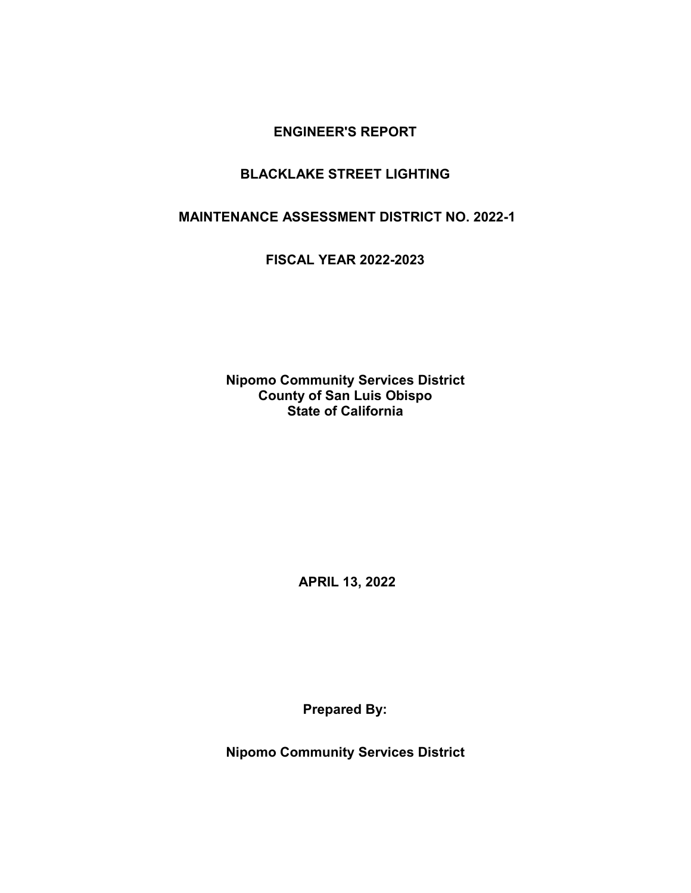### **BLACKLAKE STREET LIGHTING**

**MAINTENANCE ASSESSMENT DISTRICT NO. 2022-1**

**FISCAL YEAR 2022-2023**

**Nipomo Community Services District County of San Luis Obispo State of California**

**APRIL 13, 2022**

**Prepared By:**

**Nipomo Community Services District**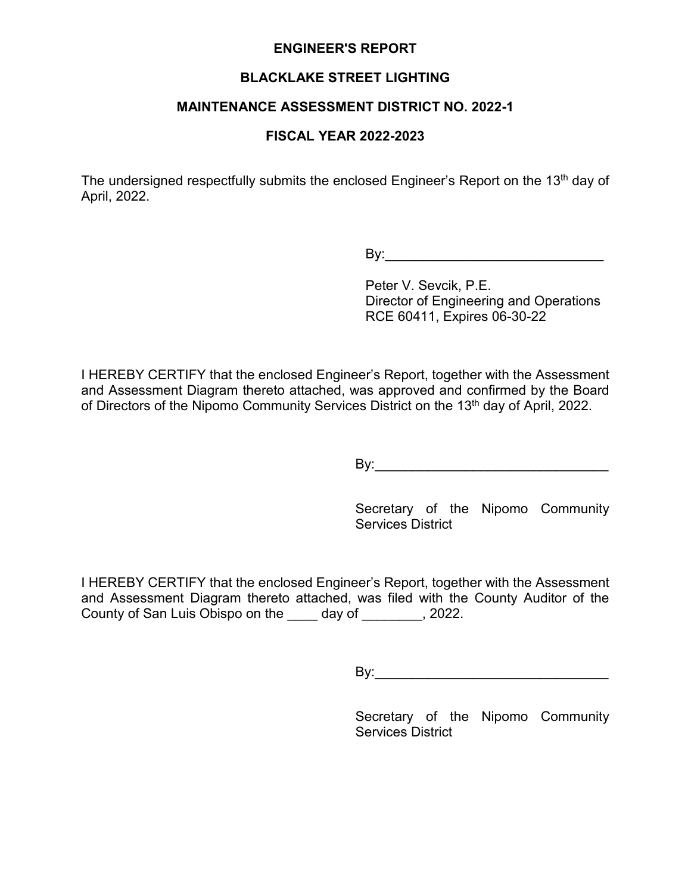### **BLACKLAKE STREET LIGHTING**

#### **MAINTENANCE ASSESSMENT DISTRICT NO. 2022-1**

### **FISCAL YEAR 2022-2023**

The undersigned respectfully submits the enclosed Engineer's Report on the 13<sup>th</sup> day of April, 2022.

 $\mathsf{By:}$ 

Peter V. Sevcik, P.E. Director of Engineering and Operations RCE 60411, Expires 06-30-22

I HEREBY CERTIFY that the enclosed Engineer's Report, together with the Assessment and Assessment Diagram thereto attached, was approved and confirmed by the Board of Directors of the Nipomo Community Services District on the 13<sup>th</sup> day of April, 2022.

By:\_\_\_\_\_\_\_\_\_\_\_\_\_\_\_\_\_\_\_\_\_\_\_\_\_\_\_\_\_\_\_

Secretary of the Nipomo Community Services District

I HEREBY CERTIFY that the enclosed Engineer's Report, together with the Assessment and Assessment Diagram thereto attached, was filed with the County Auditor of the County of San Luis Obispo on the \_\_\_\_ day of \_\_\_\_\_\_\_\_, 2022.

By:\_\_\_\_\_\_\_\_\_\_\_\_\_\_\_\_\_\_\_\_\_\_\_\_\_\_\_\_\_\_\_

Secretary of the Nipomo Community Services District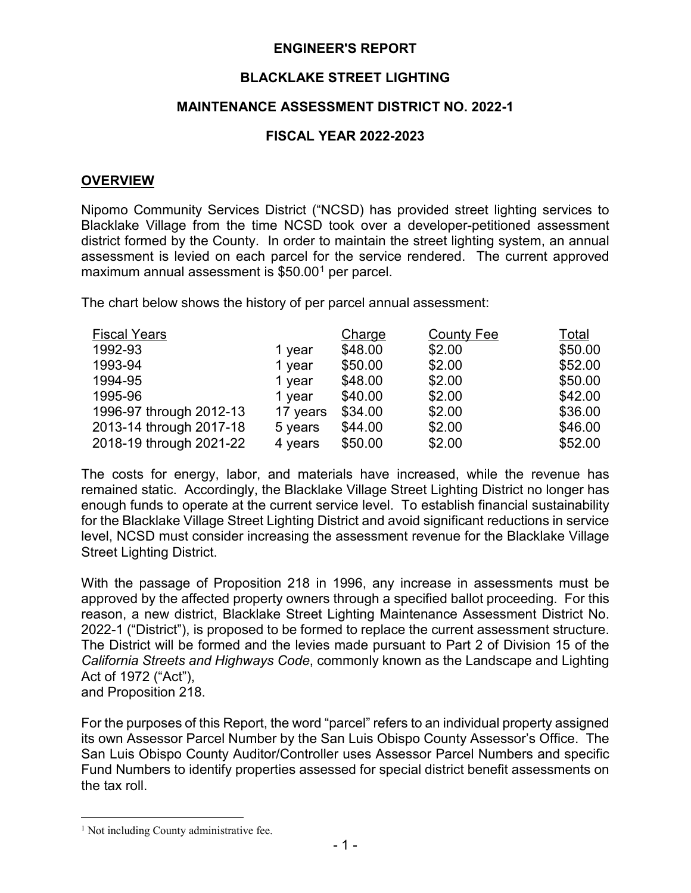### **BLACKLAKE STREET LIGHTING**

### **MAINTENANCE ASSESSMENT DISTRICT NO. 2022-1**

### **FISCAL YEAR 2022-2023**

#### **OVERVIEW**

Nipomo Community Services District ("NCSD) has provided street lighting services to Blacklake Village from the time NCSD took over a developer-petitioned assessment district formed by the County. In order to maintain the street lighting system, an annual assessment is levied on each parcel for the service rendered. The current approved maximum annual assessment is \$50.00[1](#page-2-0) per parcel.

The chart below shows the history of per parcel annual assessment:

| <b>Fiscal Years</b>     |          | Charge  | <b>County Fee</b> | Total   |
|-------------------------|----------|---------|-------------------|---------|
| 1992-93                 | 1 year   | \$48.00 | \$2.00            | \$50.00 |
| 1993-94                 | 1 year   | \$50.00 | \$2.00            | \$52.00 |
| 1994-95                 | 1 year   | \$48.00 | \$2.00            | \$50.00 |
| 1995-96                 | 1 year   | \$40.00 | \$2.00            | \$42.00 |
| 1996-97 through 2012-13 | 17 years | \$34.00 | \$2.00            | \$36.00 |
| 2013-14 through 2017-18 | 5 years  | \$44.00 | \$2.00            | \$46.00 |
| 2018-19 through 2021-22 | 4 years  | \$50.00 | \$2.00            | \$52.00 |

The costs for energy, labor, and materials have increased, while the revenue has remained static. Accordingly, the Blacklake Village Street Lighting District no longer has enough funds to operate at the current service level. To establish financial sustainability for the Blacklake Village Street Lighting District and avoid significant reductions in service level, NCSD must consider increasing the assessment revenue for the Blacklake Village Street Lighting District.

With the passage of Proposition 218 in 1996, any increase in assessments must be approved by the affected property owners through a specified ballot proceeding. For this reason, a new district, Blacklake Street Lighting Maintenance Assessment District No. 2022-1 ("District"), is proposed to be formed to replace the current assessment structure. The District will be formed and the levies made pursuant to Part 2 of Division 15 of the *California Streets and Highways Code*, commonly known as the Landscape and Lighting Act of 1972 ("Act"),

and Proposition 218.

 $\overline{a}$ 

For the purposes of this Report, the word "parcel" refers to an individual property assigned its own Assessor Parcel Number by the San Luis Obispo County Assessor's Office. The San Luis Obispo County Auditor/Controller uses Assessor Parcel Numbers and specific Fund Numbers to identify properties assessed for special district benefit assessments on the tax roll.

<span id="page-2-0"></span><sup>&</sup>lt;sup>1</sup> Not including County administrative fee.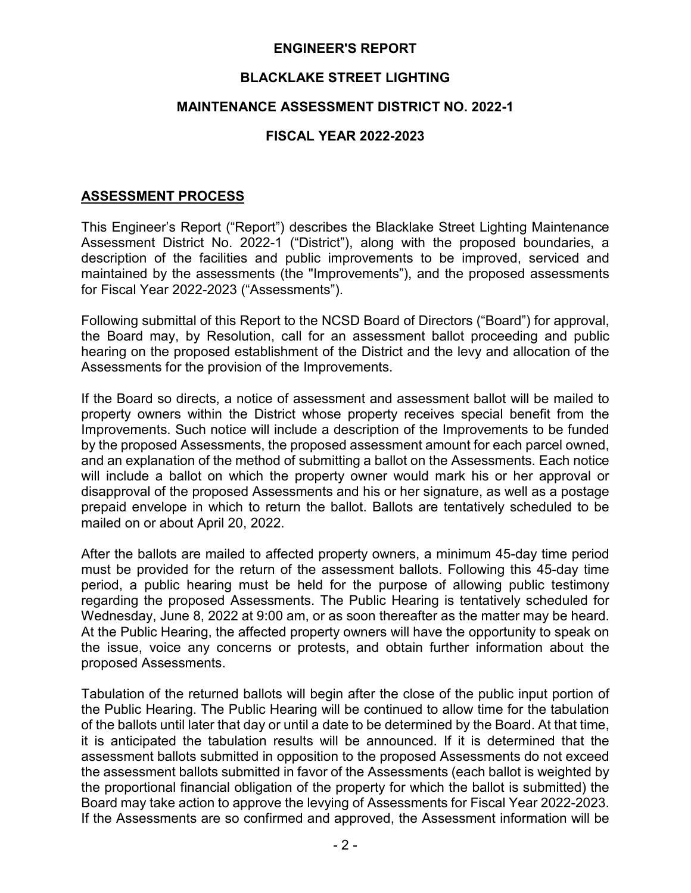### **BLACKLAKE STREET LIGHTING**

#### **MAINTENANCE ASSESSMENT DISTRICT NO. 2022-1**

### **FISCAL YEAR 2022-2023**

### **ASSESSMENT PROCESS**

This Engineer's Report ("Report") describes the Blacklake Street Lighting Maintenance Assessment District No. 2022-1 ("District"), along with the proposed boundaries, a description of the facilities and public improvements to be improved, serviced and maintained by the assessments (the "Improvements"), and the proposed assessments for Fiscal Year 2022-2023 ("Assessments").

Following submittal of this Report to the NCSD Board of Directors ("Board") for approval, the Board may, by Resolution, call for an assessment ballot proceeding and public hearing on the proposed establishment of the District and the levy and allocation of the Assessments for the provision of the Improvements.

If the Board so directs, a notice of assessment and assessment ballot will be mailed to property owners within the District whose property receives special benefit from the Improvements. Such notice will include a description of the Improvements to be funded by the proposed Assessments, the proposed assessment amount for each parcel owned, and an explanation of the method of submitting a ballot on the Assessments. Each notice will include a ballot on which the property owner would mark his or her approval or disapproval of the proposed Assessments and his or her signature, as well as a postage prepaid envelope in which to return the ballot. Ballots are tentatively scheduled to be mailed on or about April 20, 2022.

After the ballots are mailed to affected property owners, a minimum 45-day time period must be provided for the return of the assessment ballots. Following this 45-day time period, a public hearing must be held for the purpose of allowing public testimony regarding the proposed Assessments. The Public Hearing is tentatively scheduled for Wednesday, June 8, 2022 at 9:00 am, or as soon thereafter as the matter may be heard. At the Public Hearing, the affected property owners will have the opportunity to speak on the issue, voice any concerns or protests, and obtain further information about the proposed Assessments.

Tabulation of the returned ballots will begin after the close of the public input portion of the Public Hearing. The Public Hearing will be continued to allow time for the tabulation of the ballots until later that day or until a date to be determined by the Board. At that time, it is anticipated the tabulation results will be announced. If it is determined that the assessment ballots submitted in opposition to the proposed Assessments do not exceed the assessment ballots submitted in favor of the Assessments (each ballot is weighted by the proportional financial obligation of the property for which the ballot is submitted) the Board may take action to approve the levying of Assessments for Fiscal Year 2022-2023. If the Assessments are so confirmed and approved, the Assessment information will be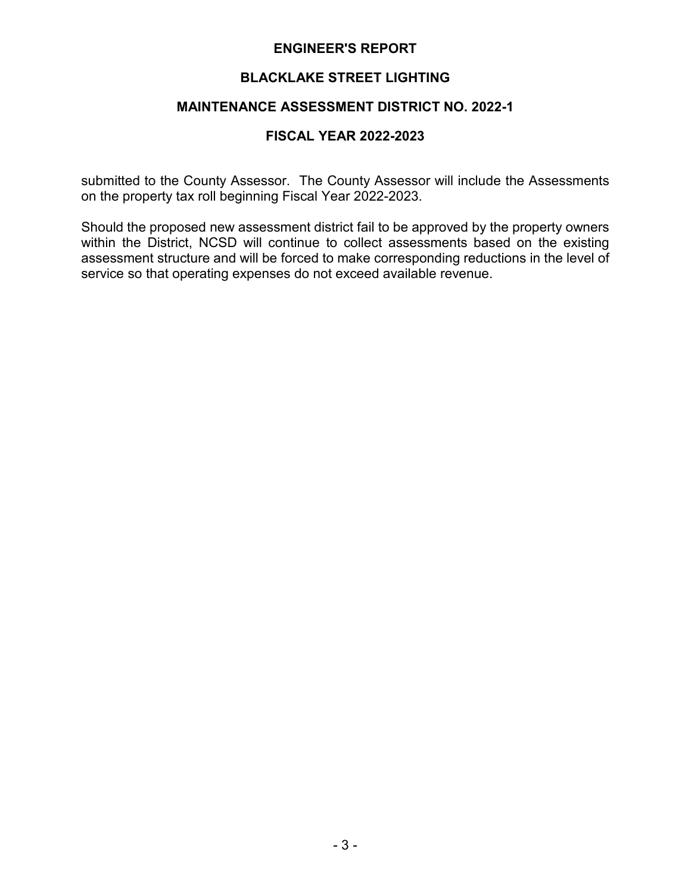### **BLACKLAKE STREET LIGHTING**

## **MAINTENANCE ASSESSMENT DISTRICT NO. 2022-1**

#### **FISCAL YEAR 2022-2023**

submitted to the County Assessor. The County Assessor will include the Assessments on the property tax roll beginning Fiscal Year 2022-2023.

Should the proposed new assessment district fail to be approved by the property owners within the District, NCSD will continue to collect assessments based on the existing assessment structure and will be forced to make corresponding reductions in the level of service so that operating expenses do not exceed available revenue.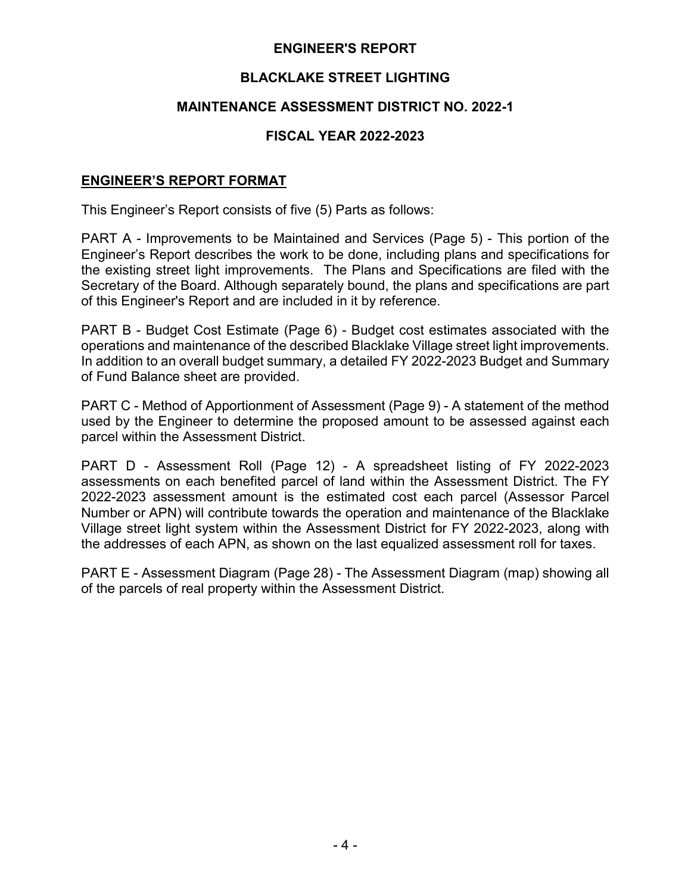## **BLACKLAKE STREET LIGHTING**

### **MAINTENANCE ASSESSMENT DISTRICT NO. 2022-1**

### **FISCAL YEAR 2022-2023**

#### **ENGINEER'S REPORT FORMAT**

This Engineer's Report consists of five (5) Parts as follows:

PART A - Improvements to be Maintained and Services (Page 5) - This portion of the Engineer's Report describes the work to be done, including plans and specifications for the existing street light improvements. The Plans and Specifications are filed with the Secretary of the Board. Although separately bound, the plans and specifications are part of this Engineer's Report and are included in it by reference.

PART B - Budget Cost Estimate (Page 6) - Budget cost estimates associated with the operations and maintenance of the described Blacklake Village street light improvements. In addition to an overall budget summary, a detailed FY 2022-2023 Budget and Summary of Fund Balance sheet are provided.

PART C - Method of Apportionment of Assessment (Page 9) - A statement of the method used by the Engineer to determine the proposed amount to be assessed against each parcel within the Assessment District.

PART D - Assessment Roll (Page 12) - A spreadsheet listing of FY 2022-2023 assessments on each benefited parcel of land within the Assessment District. The FY 2022-2023 assessment amount is the estimated cost each parcel (Assessor Parcel Number or APN) will contribute towards the operation and maintenance of the Blacklake Village street light system within the Assessment District for FY 2022-2023, along with the addresses of each APN, as shown on the last equalized assessment roll for taxes.

PART E - Assessment Diagram (Page 28) - The Assessment Diagram (map) showing all of the parcels of real property within the Assessment District.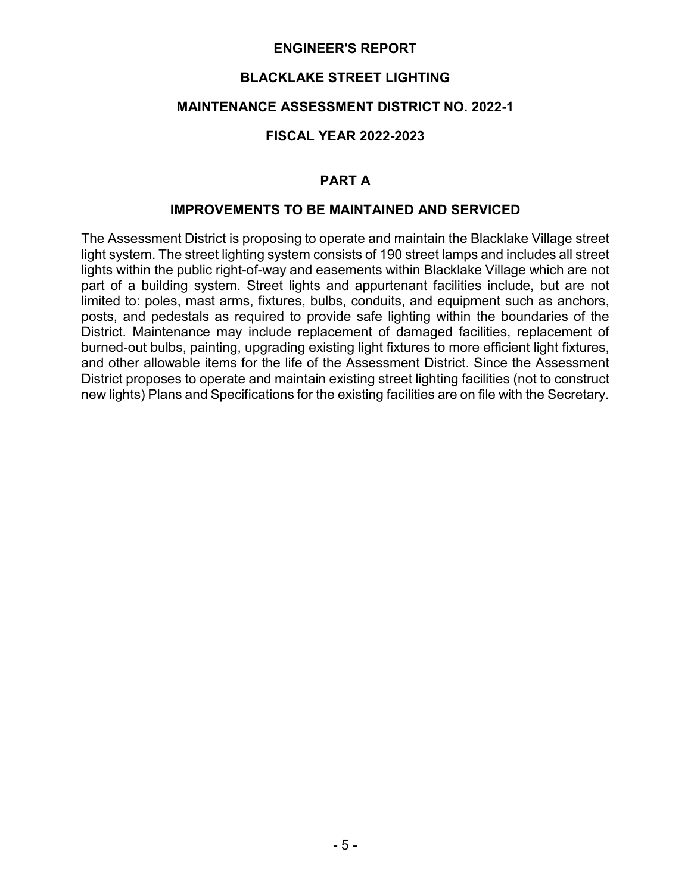### **BLACKLAKE STREET LIGHTING**

### **MAINTENANCE ASSESSMENT DISTRICT NO. 2022-1**

### **FISCAL YEAR 2022-2023**

### **PART A**

### **IMPROVEMENTS TO BE MAINTAINED AND SERVICED**

The Assessment District is proposing to operate and maintain the Blacklake Village street light system. The street lighting system consists of 190 street lamps and includes all street lights within the public right-of-way and easements within Blacklake Village which are not part of a building system. Street lights and appurtenant facilities include, but are not limited to: poles, mast arms, fixtures, bulbs, conduits, and equipment such as anchors, posts, and pedestals as required to provide safe lighting within the boundaries of the District. Maintenance may include replacement of damaged facilities, replacement of burned-out bulbs, painting, upgrading existing light fixtures to more efficient light fixtures, and other allowable items for the life of the Assessment District. Since the Assessment District proposes to operate and maintain existing street lighting facilities (not to construct new lights) Plans and Specifications for the existing facilities are on file with the Secretary.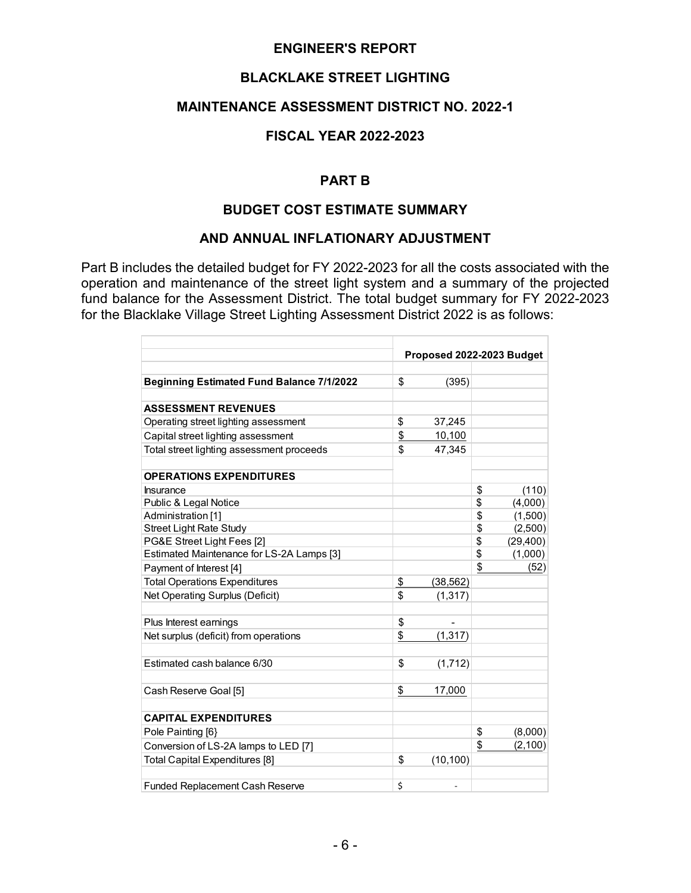### **BLACKLAKE STREET LIGHTING**

### **MAINTENANCE ASSESSMENT DISTRICT NO. 2022-1**

#### **FISCAL YEAR 2022-2023**

### **PART B**

#### **BUDGET COST ESTIMATE SUMMARY**

#### **AND ANNUAL INFLATIONARY ADJUSTMENT**

Part B includes the detailed budget for FY 2022-2023 for all the costs associated with the operation and maintenance of the street light system and a summary of the projected fund balance for the Assessment District. The total budget summary for FY 2022-2023 for the Blacklake Village Street Lighting Assessment District 2022 is as follows:

|                                                  | Proposed 2022-2023 Budget |                |    |           |
|--------------------------------------------------|---------------------------|----------------|----|-----------|
|                                                  |                           |                |    |           |
| <b>Beginning Estimated Fund Balance 7/1/2022</b> | \$                        | (395)          |    |           |
| <b>ASSESSMENT REVENUES</b>                       |                           |                |    |           |
| Operating street lighting assessment             | \$                        | 37,245         |    |           |
| Capital street lighting assessment               | \$                        | 10,100         |    |           |
| Total street lighting assessment proceeds        | \$                        | 47,345         |    |           |
| <b>OPERATIONS EXPENDITURES</b>                   |                           |                |    |           |
| <b>Insurance</b>                                 |                           |                | \$ | (110)     |
| Public & Legal Notice                            |                           |                | \$ | (4,000)   |
| Administration [1]                               |                           |                | \$ | (1,500)   |
| <b>Street Light Rate Study</b>                   |                           |                | \$ | (2,500)   |
| PG&E Street Light Fees [2]                       |                           |                | \$ | (29, 400) |
| Estimated Maintenance for LS-2A Lamps [3]        |                           |                | \$ | (1,000)   |
| Payment of Interest [4]                          |                           |                | \$ | (52)      |
| <b>Total Operations Expenditures</b>             | $\frac{1}{2}$             | (38, 562)      |    |           |
| Net Operating Surplus (Deficit)                  | \$                        | (1, 317)       |    |           |
| Plus Interest earnings                           | \$                        | $\blacksquare$ |    |           |
| Net surplus (deficit) from operations            | \$                        | (1, 317)       |    |           |
| Estimated cash balance 6/30                      | \$                        | (1,712)        |    |           |
| Cash Reserve Goal [5]                            | \$                        | 17,000         |    |           |
| <b>CAPITAL EXPENDITURES</b>                      |                           |                |    |           |
| Pole Painting [6}                                |                           |                | \$ | (8,000)   |
| Conversion of LS-2A lamps to LED [7]             |                           |                | \$ | (2, 100)  |
| Total Capital Expenditures [8]                   | \$                        | (10, 100)      |    |           |
| <b>Funded Replacement Cash Reserve</b>           | \$                        |                |    |           |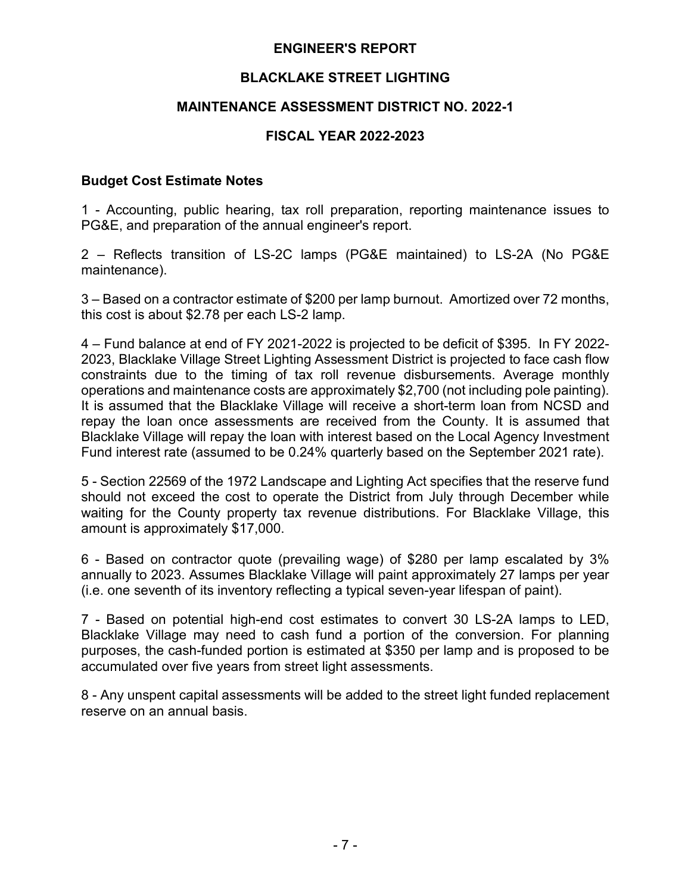### **BLACKLAKE STREET LIGHTING**

### **MAINTENANCE ASSESSMENT DISTRICT NO. 2022-1**

### **FISCAL YEAR 2022-2023**

#### **Budget Cost Estimate Notes**

1 - Accounting, public hearing, tax roll preparation, reporting maintenance issues to PG&E, and preparation of the annual engineer's report.

2 – Reflects transition of LS-2C lamps (PG&E maintained) to LS-2A (No PG&E maintenance).

3 – Based on a contractor estimate of \$200 per lamp burnout. Amortized over 72 months, this cost is about \$2.78 per each LS-2 lamp.

4 – Fund balance at end of FY 2021-2022 is projected to be deficit of \$395. In FY 2022- 2023, Blacklake Village Street Lighting Assessment District is projected to face cash flow constraints due to the timing of tax roll revenue disbursements. Average monthly operations and maintenance costs are approximately \$2,700 (not including pole painting). It is assumed that the Blacklake Village will receive a short-term loan from NCSD and repay the loan once assessments are received from the County. It is assumed that Blacklake Village will repay the loan with interest based on the Local Agency Investment Fund interest rate (assumed to be 0.24% quarterly based on the September 2021 rate).

5 - Section 22569 of the 1972 Landscape and Lighting Act specifies that the reserve fund should not exceed the cost to operate the District from July through December while waiting for the County property tax revenue distributions. For Blacklake Village, this amount is approximately \$17,000.

6 - Based on contractor quote (prevailing wage) of \$280 per lamp escalated by 3% annually to 2023. Assumes Blacklake Village will paint approximately 27 lamps per year (i.e. one seventh of its inventory reflecting a typical seven-year lifespan of paint).

7 - Based on potential high-end cost estimates to convert 30 LS-2A lamps to LED, Blacklake Village may need to cash fund a portion of the conversion. For planning purposes, the cash-funded portion is estimated at \$350 per lamp and is proposed to be accumulated over five years from street light assessments.

8 - Any unspent capital assessments will be added to the street light funded replacement reserve on an annual basis.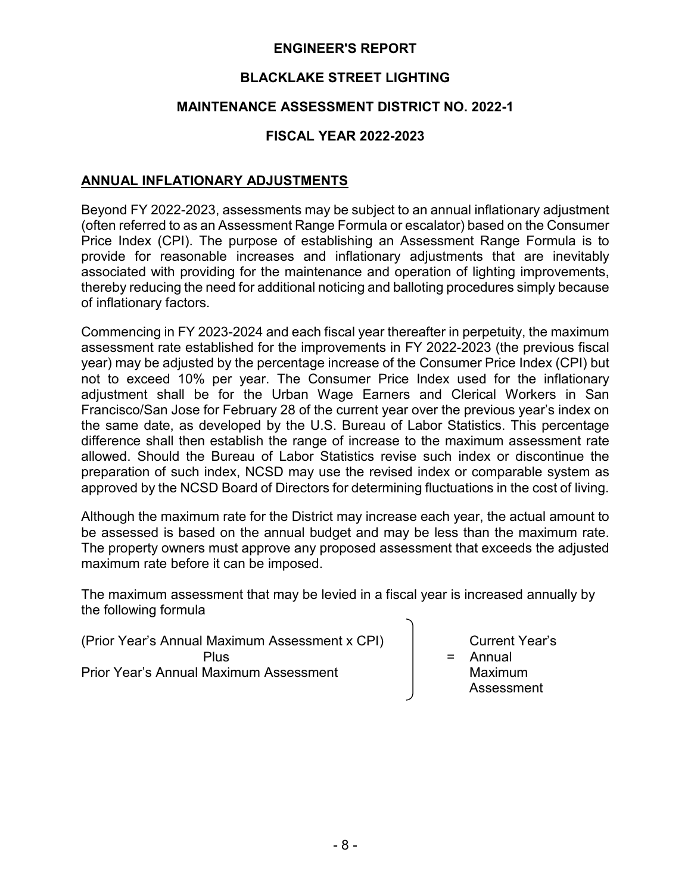## **BLACKLAKE STREET LIGHTING**

## **MAINTENANCE ASSESSMENT DISTRICT NO. 2022-1**

### **FISCAL YEAR 2022-2023**

### **ANNUAL INFLATIONARY ADJUSTMENTS**

Beyond FY 2022-2023, assessments may be subject to an annual inflationary adjustment (often referred to as an Assessment Range Formula or escalator) based on the Consumer Price Index (CPI). The purpose of establishing an Assessment Range Formula is to provide for reasonable increases and inflationary adjustments that are inevitably associated with providing for the maintenance and operation of lighting improvements, thereby reducing the need for additional noticing and balloting procedures simply because of inflationary factors.

Commencing in FY 2023-2024 and each fiscal year thereafter in perpetuity, the maximum assessment rate established for the improvements in FY 2022-2023 (the previous fiscal year) may be adjusted by the percentage increase of the Consumer Price Index (CPI) but not to exceed 10% per year. The Consumer Price Index used for the inflationary adjustment shall be for the Urban Wage Earners and Clerical Workers in San Francisco/San Jose for February 28 of the current year over the previous year's index on the same date, as developed by the U.S. Bureau of Labor Statistics. This percentage difference shall then establish the range of increase to the maximum assessment rate allowed. Should the Bureau of Labor Statistics revise such index or discontinue the preparation of such index, NCSD may use the revised index or comparable system as approved by the NCSD Board of Directors for determining fluctuations in the cost of living.

Although the maximum rate for the District may increase each year, the actual amount to be assessed is based on the annual budget and may be less than the maximum rate. The property owners must approve any proposed assessment that exceeds the adjusted maximum rate before it can be imposed.

The maximum assessment that may be levied in a fiscal year is increased annually by the following formula

(Prior Year's Annual Maximum Assessment x CPI) Current Year's Plus  $\vert$  = Annual Prior Year's Annual Maximum Assessment **Maximum** 

Assessment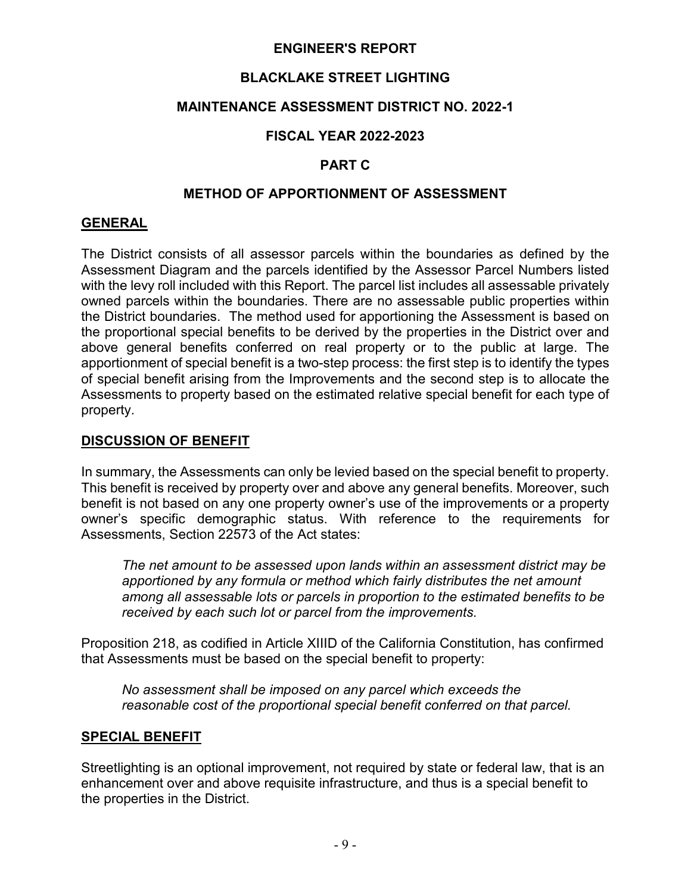## **BLACKLAKE STREET LIGHTING**

## **MAINTENANCE ASSESSMENT DISTRICT NO. 2022-1**

## **FISCAL YEAR 2022-2023**

### **PART C**

### **METHOD OF APPORTIONMENT OF ASSESSMENT**

### **GENERAL**

The District consists of all assessor parcels within the boundaries as defined by the Assessment Diagram and the parcels identified by the Assessor Parcel Numbers listed with the levy roll included with this Report. The parcel list includes all assessable privately owned parcels within the boundaries. There are no assessable public properties within the District boundaries. The method used for apportioning the Assessment is based on the proportional special benefits to be derived by the properties in the District over and above general benefits conferred on real property or to the public at large. The apportionment of special benefit is a two-step process: the first step is to identify the types of special benefit arising from the Improvements and the second step is to allocate the Assessments to property based on the estimated relative special benefit for each type of property.

### **DISCUSSION OF BENEFIT**

In summary, the Assessments can only be levied based on the special benefit to property. This benefit is received by property over and above any general benefits. Moreover, such benefit is not based on any one property owner's use of the improvements or a property owner's specific demographic status. With reference to the requirements for Assessments, Section 22573 of the Act states:

*The net amount to be assessed upon lands within an assessment district may be apportioned by any formula or method which fairly distributes the net amount among all assessable lots or parcels in proportion to the estimated benefits to be received by each such lot or parcel from the improvements.*

Proposition 218, as codified in Article XIIID of the California Constitution, has confirmed that Assessments must be based on the special benefit to property:

*No assessment shall be imposed on any parcel which exceeds the reasonable cost of the proportional special benefit conferred on that parcel.*

### **SPECIAL BENEFIT**

Streetlighting is an optional improvement, not required by state or federal law, that is an enhancement over and above requisite infrastructure, and thus is a special benefit to the properties in the District.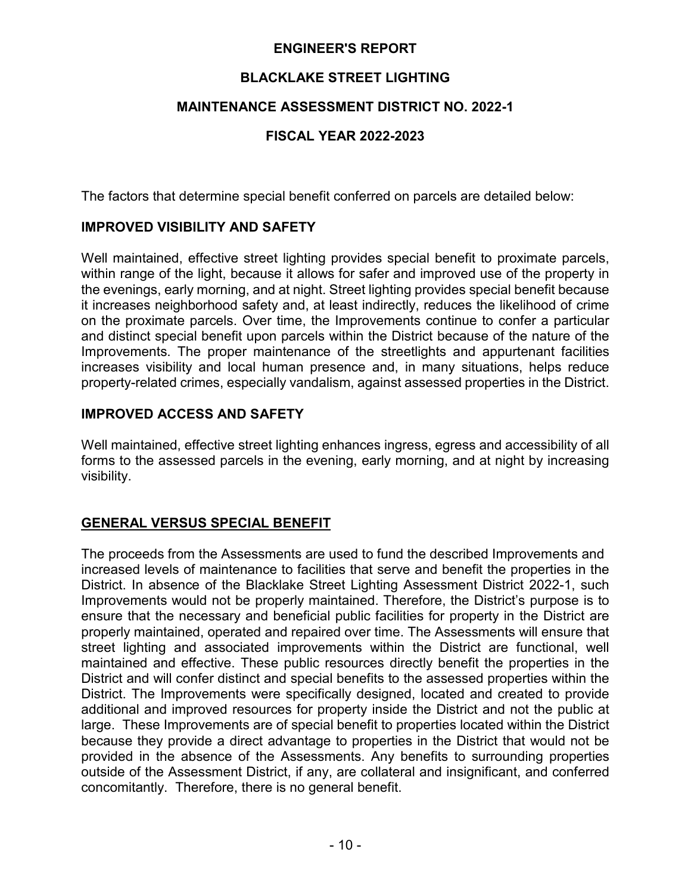## **BLACKLAKE STREET LIGHTING**

### **MAINTENANCE ASSESSMENT DISTRICT NO. 2022-1**

### **FISCAL YEAR 2022-2023**

The factors that determine special benefit conferred on parcels are detailed below:

### **IMPROVED VISIBILITY AND SAFETY**

Well maintained, effective street lighting provides special benefit to proximate parcels, within range of the light, because it allows for safer and improved use of the property in the evenings, early morning, and at night. Street lighting provides special benefit because it increases neighborhood safety and, at least indirectly, reduces the likelihood of crime on the proximate parcels. Over time, the Improvements continue to confer a particular and distinct special benefit upon parcels within the District because of the nature of the Improvements. The proper maintenance of the streetlights and appurtenant facilities increases visibility and local human presence and, in many situations, helps reduce property-related crimes, especially vandalism, against assessed properties in the District.

### **IMPROVED ACCESS AND SAFETY**

Well maintained, effective street lighting enhances ingress, egress and accessibility of all forms to the assessed parcels in the evening, early morning, and at night by increasing visibility.

### **GENERAL VERSUS SPECIAL BENEFIT**

The proceeds from the Assessments are used to fund the described Improvements and increased levels of maintenance to facilities that serve and benefit the properties in the District. In absence of the Blacklake Street Lighting Assessment District 2022-1, such Improvements would not be properly maintained. Therefore, the District's purpose is to ensure that the necessary and beneficial public facilities for property in the District are properly maintained, operated and repaired over time. The Assessments will ensure that street lighting and associated improvements within the District are functional, well maintained and effective. These public resources directly benefit the properties in the District and will confer distinct and special benefits to the assessed properties within the District. The Improvements were specifically designed, located and created to provide additional and improved resources for property inside the District and not the public at large. These Improvements are of special benefit to properties located within the District because they provide a direct advantage to properties in the District that would not be provided in the absence of the Assessments. Any benefits to surrounding properties outside of the Assessment District, if any, are collateral and insignificant, and conferred concomitantly. Therefore, there is no general benefit.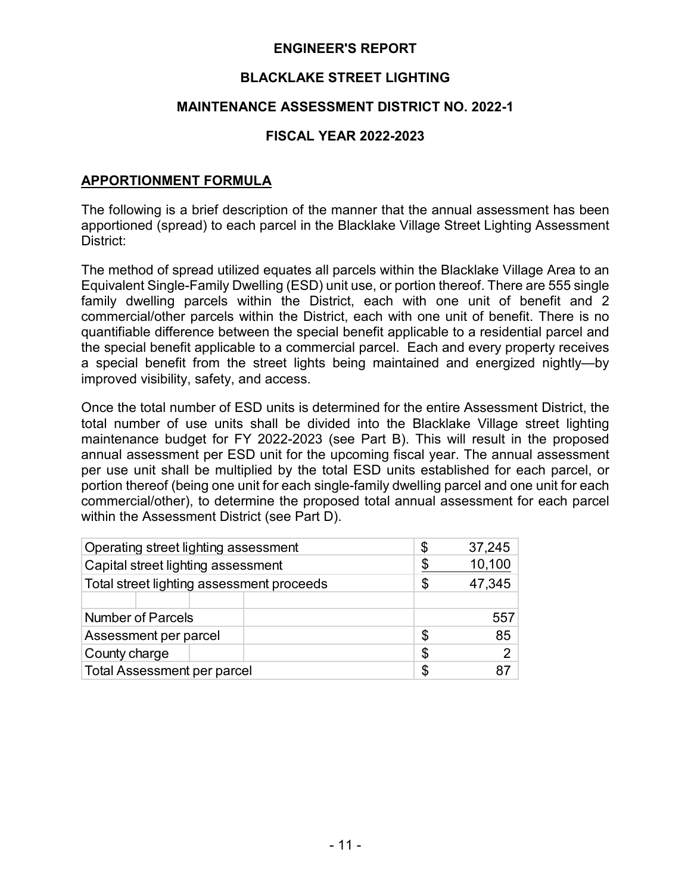### **BLACKLAKE STREET LIGHTING**

### **MAINTENANCE ASSESSMENT DISTRICT NO. 2022-1**

### **FISCAL YEAR 2022-2023**

### **APPORTIONMENT FORMULA**

The following is a brief description of the manner that the annual assessment has been apportioned (spread) to each parcel in the Blacklake Village Street Lighting Assessment District:

The method of spread utilized equates all parcels within the Blacklake Village Area to an Equivalent Single-Family Dwelling (ESD) unit use, or portion thereof. There are 555 single family dwelling parcels within the District, each with one unit of benefit and 2 commercial/other parcels within the District, each with one unit of benefit. There is no quantifiable difference between the special benefit applicable to a residential parcel and the special benefit applicable to a commercial parcel. Each and every property receives a special benefit from the street lights being maintained and energized nightly—by improved visibility, safety, and access.

Once the total number of ESD units is determined for the entire Assessment District, the total number of use units shall be divided into the Blacklake Village street lighting maintenance budget for FY 2022-2023 (see Part B). This will result in the proposed annual assessment per ESD unit for the upcoming fiscal year. The annual assessment per use unit shall be multiplied by the total ESD units established for each parcel, or portion thereof (being one unit for each single-family dwelling parcel and one unit for each commercial/other), to determine the proposed total annual assessment for each parcel within the Assessment District (see Part D).

| Operating street lighting assessment      | \$ | 37,245 |                |
|-------------------------------------------|----|--------|----------------|
| Capital street lighting assessment        |    | \$     | 10,100         |
| Total street lighting assessment proceeds |    | S      | 47,345         |
|                                           |    |        |                |
| <b>Number of Parcels</b>                  |    |        | 557            |
| Assessment per parcel                     |    | \$     | 85             |
| County charge                             |    | \$     | $\overline{2}$ |
| <b>Total Assessment per parcel</b>        |    | \$     |                |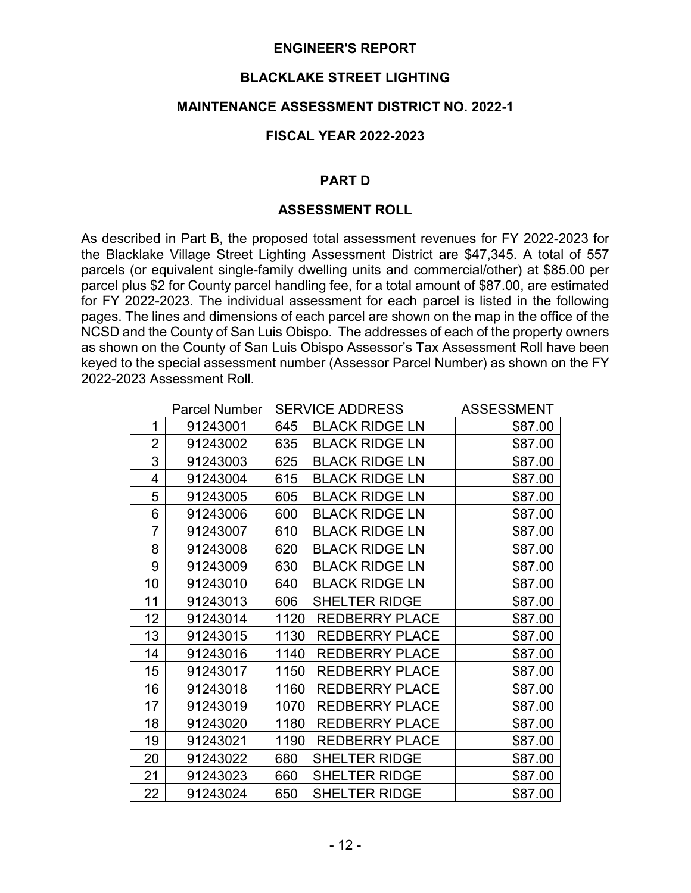### **BLACKLAKE STREET LIGHTING**

#### **MAINTENANCE ASSESSMENT DISTRICT NO. 2022-1**

#### **FISCAL YEAR 2022-2023**

#### **PART D**

#### **ASSESSMENT ROLL**

As described in Part B, the proposed total assessment revenues for FY 2022-2023 for the Blacklake Village Street Lighting Assessment District are \$47,345. A total of 557 parcels (or equivalent single-family dwelling units and commercial/other) at \$85.00 per parcel plus \$2 for County parcel handling fee, for a total amount of \$87.00, are estimated for FY 2022-2023. The individual assessment for each parcel is listed in the following pages. The lines and dimensions of each parcel are shown on the map in the office of the NCSD and the County of San Luis Obispo. The addresses of each of the property owners as shown on the County of San Luis Obispo Assessor's Tax Assessment Roll have been keyed to the special assessment number (Assessor Parcel Number) as shown on the FY 2022-2023 Assessment Roll.

|                | <b>Parcel Number</b> | <b>SERVICE ADDRESS</b>        | <b>ASSESSMENT</b> |
|----------------|----------------------|-------------------------------|-------------------|
| 1              | 91243001             | 645<br><b>BLACK RIDGE LN</b>  | \$87.00           |
| $\overline{2}$ | 91243002             | 635<br><b>BLACK RIDGE LN</b>  | \$87.00           |
| 3              | 91243003             | 625<br><b>BLACK RIDGE LN</b>  | \$87.00           |
| $\overline{4}$ | 91243004             | 615<br><b>BLACK RIDGE LN</b>  | \$87.00           |
| 5              | 91243005             | 605<br><b>BLACK RIDGE LN</b>  | \$87.00           |
| 6              | 91243006             | 600<br><b>BLACK RIDGE LN</b>  | \$87.00           |
| $\overline{7}$ | 91243007             | 610<br><b>BLACK RIDGE LN</b>  | \$87.00           |
| 8              | 91243008             | <b>BLACK RIDGE LN</b><br>620  | \$87.00           |
| 9              | 91243009             | 630<br><b>BLACK RIDGE LN</b>  | \$87.00           |
| 10             | 91243010             | 640<br><b>BLACK RIDGE LN</b>  | \$87.00           |
| 11             | 91243013             | 606<br><b>SHELTER RIDGE</b>   | \$87.00           |
| 12             | 91243014             | 1120<br><b>REDBERRY PLACE</b> | \$87.00           |
| 13             | 91243015             | 1130<br><b>REDBERRY PLACE</b> | \$87.00           |
| 14             | 91243016             | 1140<br><b>REDBERRY PLACE</b> | \$87.00           |
| 15             | 91243017             | 1150<br><b>REDBERRY PLACE</b> | \$87.00           |
| 16             | 91243018             | 1160<br><b>REDBERRY PLACE</b> | \$87.00           |
| 17             | 91243019             | <b>REDBERRY PLACE</b><br>1070 | \$87.00           |
| 18             | 91243020             | 1180<br><b>REDBERRY PLACE</b> | \$87.00           |
| 19             | 91243021             | 1190<br><b>REDBERRY PLACE</b> | \$87.00           |
| 20             | 91243022             | <b>SHELTER RIDGE</b><br>680   | \$87.00           |
| 21             | 91243023             | 660<br><b>SHELTER RIDGE</b>   | \$87.00           |
| 22             | 91243024             | 650<br><b>SHELTER RIDGE</b>   | \$87.00           |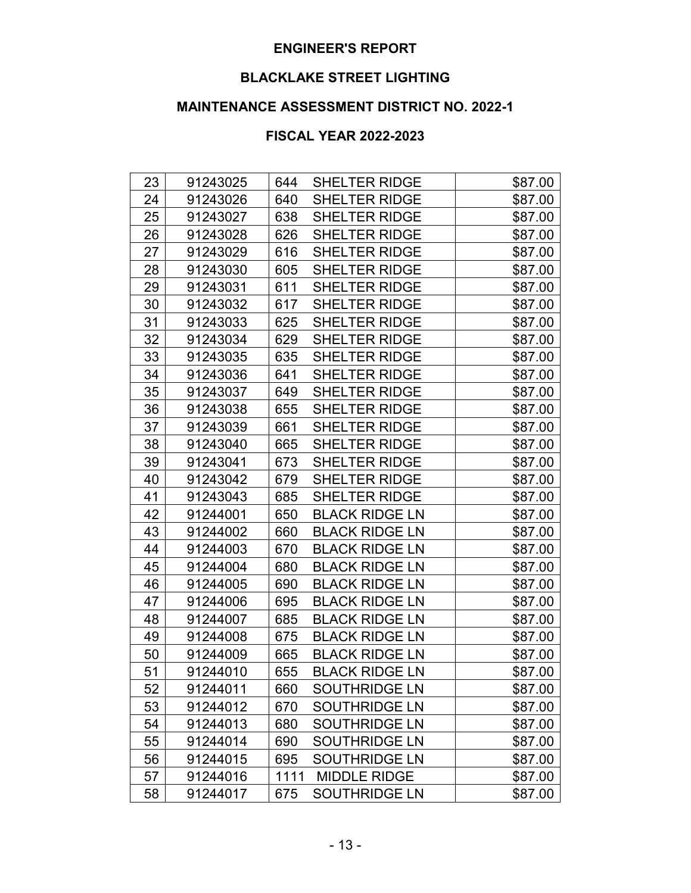# **BLACKLAKE STREET LIGHTING**

# **MAINTENANCE ASSESSMENT DISTRICT NO. 2022-1**

| 23 | 91243025 | 644  | <b>SHELTER RIDGE</b>  | \$87.00 |
|----|----------|------|-----------------------|---------|
| 24 | 91243026 | 640  | <b>SHELTER RIDGE</b>  | \$87.00 |
| 25 | 91243027 | 638  | <b>SHELTER RIDGE</b>  | \$87.00 |
| 26 | 91243028 | 626  | <b>SHELTER RIDGE</b>  | \$87.00 |
| 27 | 91243029 | 616  | <b>SHELTER RIDGE</b>  | \$87.00 |
| 28 | 91243030 | 605  | <b>SHELTER RIDGE</b>  | \$87.00 |
| 29 | 91243031 | 611  | SHELTER RIDGE         | \$87.00 |
| 30 | 91243032 | 617  | <b>SHELTER RIDGE</b>  | \$87.00 |
| 31 | 91243033 | 625  | <b>SHELTER RIDGE</b>  | \$87.00 |
| 32 | 91243034 | 629  | <b>SHELTER RIDGE</b>  | \$87.00 |
| 33 | 91243035 | 635  | <b>SHELTER RIDGE</b>  | \$87.00 |
| 34 | 91243036 | 641  | <b>SHELTER RIDGE</b>  | \$87.00 |
| 35 | 91243037 | 649  | <b>SHELTER RIDGE</b>  | \$87.00 |
| 36 | 91243038 | 655  | <b>SHELTER RIDGE</b>  | \$87.00 |
| 37 | 91243039 | 661  | <b>SHELTER RIDGE</b>  | \$87.00 |
| 38 | 91243040 | 665  | <b>SHELTER RIDGE</b>  | \$87.00 |
| 39 | 91243041 | 673  | <b>SHELTER RIDGE</b>  | \$87.00 |
| 40 | 91243042 | 679  | <b>SHELTER RIDGE</b>  | \$87.00 |
| 41 | 91243043 | 685  | <b>SHELTER RIDGE</b>  | \$87.00 |
| 42 | 91244001 | 650  | <b>BLACK RIDGE LN</b> | \$87.00 |
| 43 | 91244002 | 660  | <b>BLACK RIDGE LN</b> | \$87.00 |
| 44 | 91244003 | 670  | <b>BLACK RIDGE LN</b> | \$87.00 |
| 45 | 91244004 | 680  | <b>BLACK RIDGE LN</b> | \$87.00 |
| 46 | 91244005 | 690  | <b>BLACK RIDGE LN</b> | \$87.00 |
| 47 | 91244006 | 695  | <b>BLACK RIDGE LN</b> | \$87.00 |
| 48 | 91244007 | 685  | <b>BLACK RIDGE LN</b> | \$87.00 |
| 49 | 91244008 | 675  | <b>BLACK RIDGE LN</b> | \$87.00 |
| 50 | 91244009 | 665  | <b>BLACK RIDGE LN</b> | \$87.00 |
| 51 | 91244010 | 655  | <b>BLACK RIDGE LN</b> | \$87.00 |
| 52 | 91244011 | 660  | <b>SOUTHRIDGE LN</b>  | \$87.00 |
| 53 | 91244012 | 670  | <b>SOUTHRIDGE LN</b>  | \$87.00 |
| 54 | 91244013 | 680  | <b>SOUTHRIDGE LN</b>  | \$87.00 |
| 55 | 91244014 | 690  | <b>SOUTHRIDGE LN</b>  | \$87.00 |
| 56 | 91244015 | 695  | <b>SOUTHRIDGE LN</b>  | \$87.00 |
| 57 | 91244016 | 1111 | <b>MIDDLE RIDGE</b>   | \$87.00 |
| 58 | 91244017 | 675  | <b>SOUTHRIDGE LN</b>  | \$87.00 |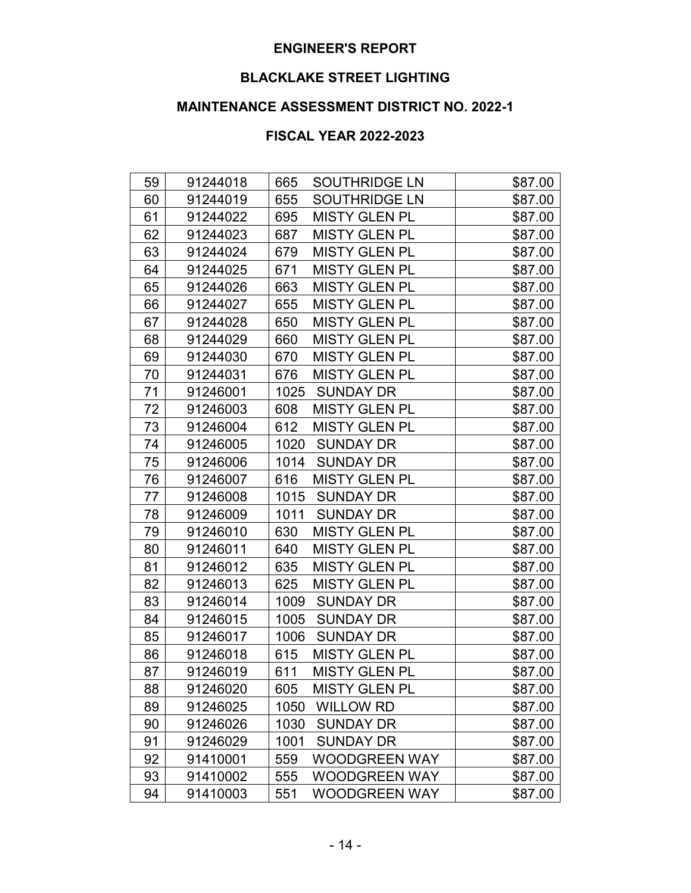# **BLACKLAKE STREET LIGHTING**

# **MAINTENANCE ASSESSMENT DISTRICT NO. 2022-1**

| 59 | 91244018 | 665<br><b>SOUTHRIDGE LN</b> | \$87.00 |
|----|----------|-----------------------------|---------|
| 60 | 91244019 | 655<br><b>SOUTHRIDGE LN</b> | \$87.00 |
| 61 | 91244022 | 695<br><b>MISTY GLEN PL</b> | \$87.00 |
| 62 | 91244023 | <b>MISTY GLEN PL</b><br>687 | \$87.00 |
| 63 | 91244024 | <b>MISTY GLEN PL</b><br>679 | \$87.00 |
| 64 | 91244025 | <b>MISTY GLEN PL</b><br>671 | \$87.00 |
| 65 | 91244026 | 663<br><b>MISTY GLEN PL</b> | \$87.00 |
| 66 | 91244027 | 655<br><b>MISTY GLEN PL</b> | \$87.00 |
| 67 | 91244028 | <b>MISTY GLEN PL</b><br>650 | \$87.00 |
| 68 | 91244029 | 660<br><b>MISTY GLEN PL</b> | \$87.00 |
| 69 | 91244030 | <b>MISTY GLEN PL</b><br>670 | \$87.00 |
| 70 | 91244031 | 676<br><b>MISTY GLEN PL</b> | \$87.00 |
| 71 | 91246001 | <b>SUNDAY DR</b><br>1025    | \$87.00 |
| 72 | 91246003 | 608<br><b>MISTY GLEN PL</b> | \$87.00 |
| 73 | 91246004 | 612<br><b>MISTY GLEN PL</b> | \$87.00 |
| 74 | 91246005 | <b>SUNDAY DR</b><br>1020    | \$87.00 |
| 75 | 91246006 | 1014<br><b>SUNDAY DR</b>    | \$87.00 |
| 76 | 91246007 | 616<br><b>MISTY GLEN PL</b> | \$87.00 |
| 77 | 91246008 | <b>SUNDAY DR</b><br>1015    | \$87.00 |
| 78 | 91246009 | 1011<br><b>SUNDAY DR</b>    | \$87.00 |
| 79 | 91246010 | 630<br><b>MISTY GLEN PL</b> | \$87.00 |
| 80 | 91246011 | 640<br><b>MISTY GLEN PL</b> | \$87.00 |
| 81 | 91246012 | <b>MISTY GLEN PL</b><br>635 | \$87.00 |
| 82 | 91246013 | 625<br><b>MISTY GLEN PL</b> | \$87.00 |
| 83 | 91246014 | 1009<br><b>SUNDAY DR</b>    | \$87.00 |
| 84 | 91246015 | 1005<br><b>SUNDAY DR</b>    | \$87.00 |
| 85 | 91246017 | 1006<br><b>SUNDAY DR</b>    | \$87.00 |
| 86 | 91246018 | <b>MISTY GLEN PL</b><br>615 | \$87.00 |
| 87 | 91246019 | <b>MISTY GLEN PL</b><br>611 | \$87.00 |
| 88 | 91246020 | 605<br><b>MISTY GLEN PL</b> | \$87.00 |
| 89 | 91246025 | 1050<br><b>WILLOW RD</b>    | \$87.00 |
| 90 | 91246026 | 1030<br><b>SUNDAY DR</b>    | \$87.00 |
| 91 | 91246029 | 1001<br><b>SUNDAY DR</b>    | \$87.00 |
| 92 | 91410001 | 559<br><b>WOODGREEN WAY</b> | \$87.00 |
| 93 | 91410002 | <b>WOODGREEN WAY</b><br>555 | \$87.00 |
| 94 | 91410003 | <b>WOODGREEN WAY</b><br>551 | \$87.00 |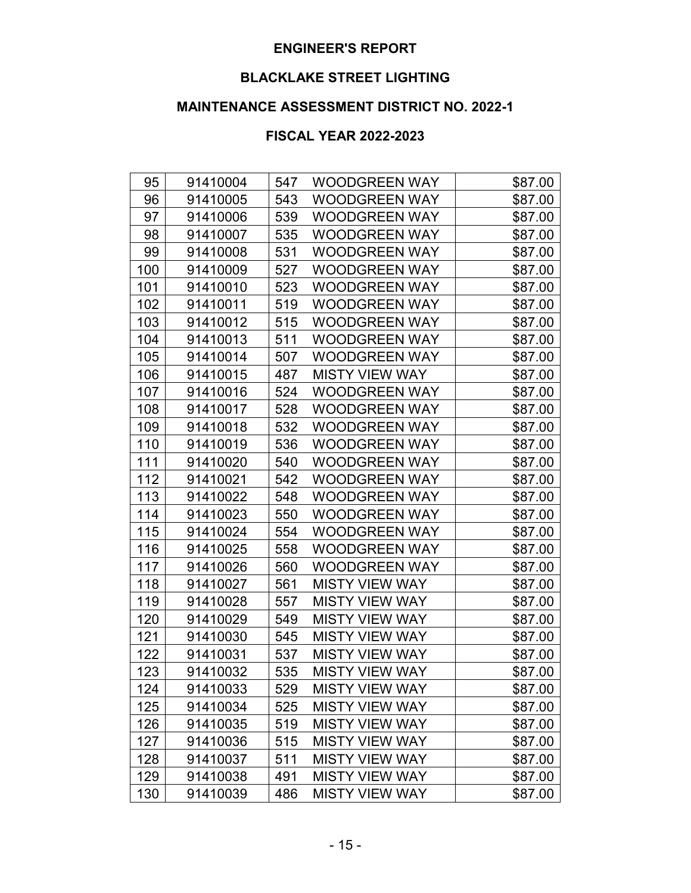# **BLACKLAKE STREET LIGHTING**

# **MAINTENANCE ASSESSMENT DISTRICT NO. 2022-1**

| 95  | 91410004 | 547 | <b>WOODGREEN WAY</b>  | \$87.00 |
|-----|----------|-----|-----------------------|---------|
| 96  | 91410005 | 543 | <b>WOODGREEN WAY</b>  | \$87.00 |
| 97  | 91410006 | 539 | WOODGREEN WAY         | \$87.00 |
| 98  | 91410007 | 535 | <b>WOODGREEN WAY</b>  | \$87.00 |
| 99  | 91410008 | 531 | <b>WOODGREEN WAY</b>  | \$87.00 |
| 100 | 91410009 | 527 | <b>WOODGREEN WAY</b>  | \$87.00 |
| 101 | 91410010 | 523 | <b>WOODGREEN WAY</b>  | \$87.00 |
| 102 | 91410011 | 519 | <b>WOODGREEN WAY</b>  | \$87.00 |
| 103 | 91410012 | 515 | <b>WOODGREEN WAY</b>  | \$87.00 |
| 104 | 91410013 | 511 | <b>WOODGREEN WAY</b>  | \$87.00 |
| 105 | 91410014 | 507 | <b>WOODGREEN WAY</b>  | \$87.00 |
| 106 | 91410015 | 487 | <b>MISTY VIEW WAY</b> | \$87.00 |
| 107 | 91410016 | 524 | <b>WOODGREEN WAY</b>  | \$87.00 |
| 108 | 91410017 | 528 | <b>WOODGREEN WAY</b>  | \$87.00 |
| 109 | 91410018 | 532 | <b>WOODGREEN WAY</b>  | \$87.00 |
| 110 | 91410019 | 536 | <b>WOODGREEN WAY</b>  | \$87.00 |
| 111 | 91410020 | 540 | <b>WOODGREEN WAY</b>  | \$87.00 |
| 112 | 91410021 | 542 | <b>WOODGREEN WAY</b>  | \$87.00 |
| 113 | 91410022 | 548 | <b>WOODGREEN WAY</b>  | \$87.00 |
| 114 | 91410023 | 550 | <b>WOODGREEN WAY</b>  | \$87.00 |
| 115 | 91410024 | 554 | <b>WOODGREEN WAY</b>  | \$87.00 |
| 116 | 91410025 | 558 | <b>WOODGREEN WAY</b>  | \$87.00 |
| 117 | 91410026 | 560 | <b>WOODGREEN WAY</b>  | \$87.00 |
| 118 | 91410027 | 561 | <b>MISTY VIEW WAY</b> | \$87.00 |
| 119 | 91410028 | 557 | <b>MISTY VIEW WAY</b> | \$87.00 |
| 120 | 91410029 | 549 | <b>MISTY VIEW WAY</b> | \$87.00 |
| 121 | 91410030 | 545 | <b>MISTY VIEW WAY</b> | \$87.00 |
| 122 | 91410031 | 537 | <b>MISTY VIEW WAY</b> | \$87.00 |
| 123 | 91410032 | 535 | <b>MISTY VIEW WAY</b> | \$87.00 |
| 124 | 91410033 | 529 | <b>MISTY VIEW WAY</b> | \$87.00 |
| 125 | 91410034 | 525 | <b>MISTY VIEW WAY</b> | \$87.00 |
| 126 | 91410035 | 519 | <b>MISTY VIEW WAY</b> | \$87.00 |
| 127 | 91410036 | 515 | <b>MISTY VIEW WAY</b> | \$87.00 |
| 128 | 91410037 | 511 | <b>MISTY VIEW WAY</b> | \$87.00 |
| 129 | 91410038 | 491 | <b>MISTY VIEW WAY</b> | \$87.00 |
| 130 | 91410039 | 486 | <b>MISTY VIEW WAY</b> | \$87.00 |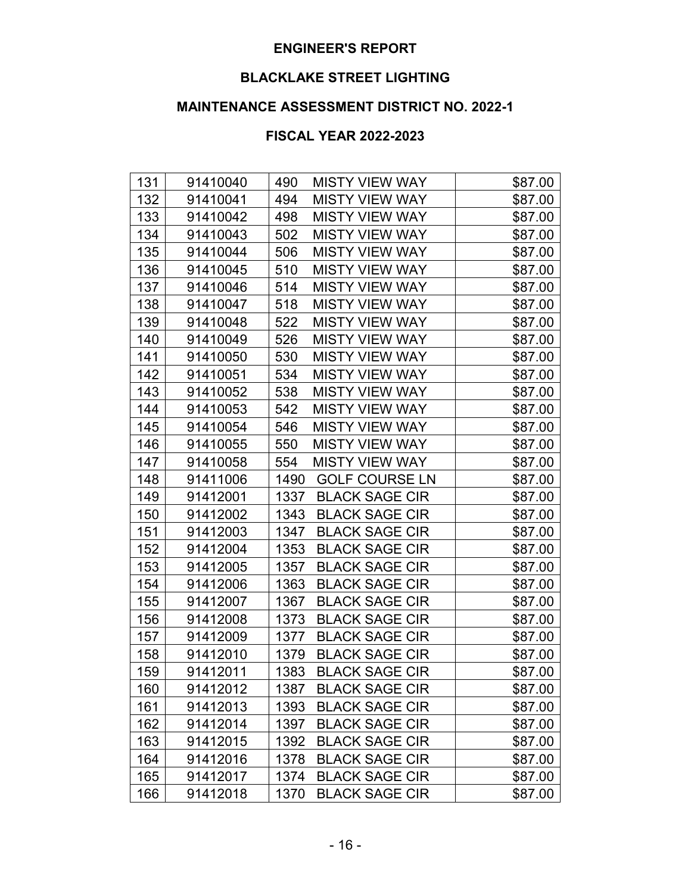# **BLACKLAKE STREET LIGHTING**

# **MAINTENANCE ASSESSMENT DISTRICT NO. 2022-1**

| 131 | 91410040 | 490<br><b>MISTY VIEW WAY</b>  | \$87.00 |
|-----|----------|-------------------------------|---------|
| 132 | 91410041 | 494<br><b>MISTY VIEW WAY</b>  | \$87.00 |
| 133 | 91410042 | <b>MISTY VIEW WAY</b><br>498  | \$87.00 |
| 134 | 91410043 | <b>MISTY VIEW WAY</b><br>502  | \$87.00 |
| 135 | 91410044 | 506<br><b>MISTY VIEW WAY</b>  | \$87.00 |
| 136 | 91410045 | 510<br><b>MISTY VIEW WAY</b>  | \$87.00 |
| 137 | 91410046 | 514<br><b>MISTY VIEW WAY</b>  | \$87.00 |
| 138 | 91410047 | 518<br><b>MISTY VIEW WAY</b>  | \$87.00 |
| 139 | 91410048 | 522<br><b>MISTY VIEW WAY</b>  | \$87.00 |
| 140 | 91410049 | 526<br><b>MISTY VIEW WAY</b>  | \$87.00 |
| 141 | 91410050 | 530<br><b>MISTY VIEW WAY</b>  | \$87.00 |
| 142 | 91410051 | 534<br><b>MISTY VIEW WAY</b>  | \$87.00 |
| 143 | 91410052 | 538<br><b>MISTY VIEW WAY</b>  | \$87.00 |
| 144 | 91410053 | <b>MISTY VIEW WAY</b><br>542  | \$87.00 |
| 145 | 91410054 | 546<br><b>MISTY VIEW WAY</b>  | \$87.00 |
| 146 | 91410055 | 550<br><b>MISTY VIEW WAY</b>  | \$87.00 |
| 147 | 91410058 | <b>MISTY VIEW WAY</b><br>554  | \$87.00 |
| 148 | 91411006 | <b>GOLF COURSE LN</b><br>1490 | \$87.00 |
| 149 | 91412001 | 1337<br><b>BLACK SAGE CIR</b> | \$87.00 |
| 150 | 91412002 | <b>BLACK SAGE CIR</b><br>1343 | \$87.00 |
| 151 | 91412003 | <b>BLACK SAGE CIR</b><br>1347 | \$87.00 |
| 152 | 91412004 | 1353<br><b>BLACK SAGE CIR</b> | \$87.00 |
| 153 | 91412005 | 1357<br><b>BLACK SAGE CIR</b> | \$87.00 |
| 154 | 91412006 | 1363<br><b>BLACK SAGE CIR</b> | \$87.00 |
| 155 | 91412007 | 1367<br><b>BLACK SAGE CIR</b> | \$87.00 |
| 156 | 91412008 | 1373<br><b>BLACK SAGE CIR</b> | \$87.00 |
| 157 | 91412009 | <b>BLACK SAGE CIR</b><br>1377 | \$87.00 |
| 158 | 91412010 | <b>BLACK SAGE CIR</b><br>1379 | \$87.00 |
| 159 | 91412011 | <b>BLACK SAGE CIR</b><br>1383 | \$87.00 |
| 160 | 91412012 | 1387<br><b>BLACK SAGE CIR</b> | \$87.00 |
| 161 | 91412013 | 1393<br><b>BLACK SAGE CIR</b> | \$87.00 |
| 162 | 91412014 | 1397<br><b>BLACK SAGE CIR</b> | \$87.00 |
| 163 | 91412015 | 1392<br><b>BLACK SAGE CIR</b> | \$87.00 |
| 164 | 91412016 | <b>BLACK SAGE CIR</b><br>1378 | \$87.00 |
| 165 | 91412017 | <b>BLACK SAGE CIR</b><br>1374 | \$87.00 |
| 166 | 91412018 | <b>BLACK SAGE CIR</b><br>1370 | \$87.00 |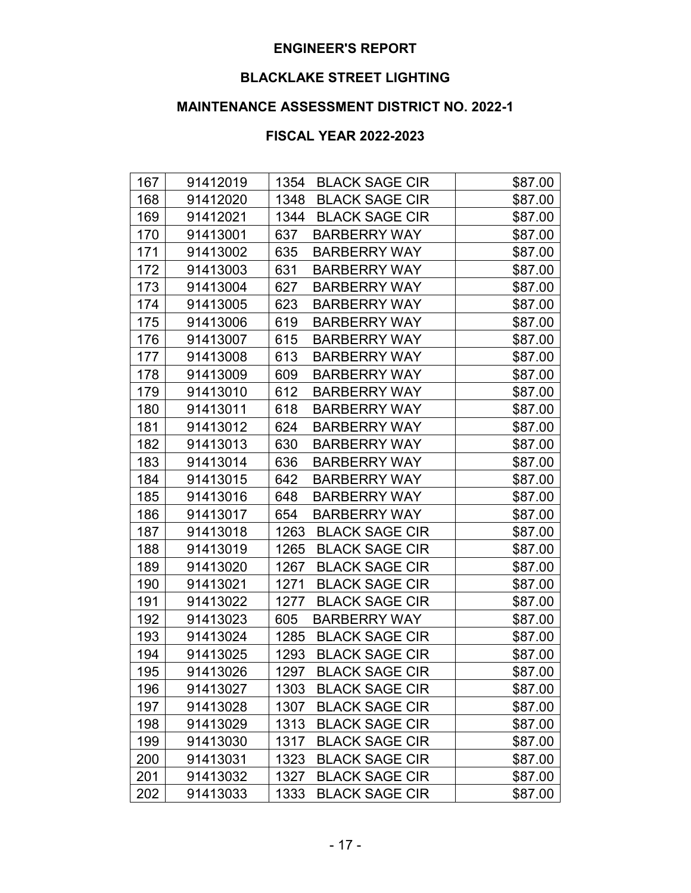# **BLACKLAKE STREET LIGHTING**

# **MAINTENANCE ASSESSMENT DISTRICT NO. 2022-1**

| 167 | 91412019 | 1354<br><b>BLACK SAGE CIR</b> | \$87.00 |
|-----|----------|-------------------------------|---------|
| 168 | 91412020 | <b>BLACK SAGE CIR</b><br>1348 | \$87.00 |
| 169 | 91412021 | <b>BLACK SAGE CIR</b><br>1344 | \$87.00 |
| 170 | 91413001 | 637<br><b>BARBERRY WAY</b>    | \$87.00 |
| 171 | 91413002 | 635<br><b>BARBERRY WAY</b>    | \$87.00 |
| 172 | 91413003 | 631<br><b>BARBERRY WAY</b>    | \$87.00 |
| 173 | 91413004 | 627<br><b>BARBERRY WAY</b>    | \$87.00 |
| 174 | 91413005 | 623<br><b>BARBERRY WAY</b>    | \$87.00 |
| 175 | 91413006 | 619<br><b>BARBERRY WAY</b>    | \$87.00 |
| 176 | 91413007 | 615<br><b>BARBERRY WAY</b>    | \$87.00 |
| 177 | 91413008 | 613<br><b>BARBERRY WAY</b>    | \$87.00 |
| 178 | 91413009 | 609<br><b>BARBERRY WAY</b>    | \$87.00 |
| 179 | 91413010 | 612<br><b>BARBERRY WAY</b>    | \$87.00 |
| 180 | 91413011 | 618<br><b>BARBERRY WAY</b>    | \$87.00 |
| 181 | 91413012 | 624<br><b>BARBERRY WAY</b>    | \$87.00 |
| 182 | 91413013 | 630<br><b>BARBERRY WAY</b>    | \$87.00 |
| 183 | 91413014 | 636<br><b>BARBERRY WAY</b>    | \$87.00 |
| 184 | 91413015 | 642<br><b>BARBERRY WAY</b>    | \$87.00 |
| 185 | 91413016 | 648<br><b>BARBERRY WAY</b>    | \$87.00 |
| 186 | 91413017 | 654<br><b>BARBERRY WAY</b>    | \$87.00 |
| 187 | 91413018 | <b>BLACK SAGE CIR</b><br>1263 | \$87.00 |
| 188 | 91413019 | 1265<br><b>BLACK SAGE CIR</b> | \$87.00 |
| 189 | 91413020 | <b>BLACK SAGE CIR</b><br>1267 | \$87.00 |
| 190 | 91413021 | 1271<br><b>BLACK SAGE CIR</b> | \$87.00 |
| 191 | 91413022 | <b>BLACK SAGE CIR</b><br>1277 | \$87.00 |
| 192 | 91413023 | <b>BARBERRY WAY</b><br>605    | \$87.00 |
| 193 | 91413024 | 1285<br><b>BLACK SAGE CIR</b> | \$87.00 |
| 194 | 91413025 | <b>BLACK SAGE CIR</b><br>1293 | \$87.00 |
| 195 | 91413026 | <b>BLACK SAGE CIR</b><br>1297 | \$87.00 |
| 196 | 91413027 | 1303<br><b>BLACK SAGE CIR</b> | \$87.00 |
| 197 | 91413028 | 1307<br><b>BLACK SAGE CIR</b> | \$87.00 |
| 198 | 91413029 | 1313<br><b>BLACK SAGE CIR</b> | \$87.00 |
| 199 | 91413030 | 1317<br><b>BLACK SAGE CIR</b> | \$87.00 |
| 200 | 91413031 | <b>BLACK SAGE CIR</b><br>1323 | \$87.00 |
| 201 | 91413032 | <b>BLACK SAGE CIR</b><br>1327 | \$87.00 |
| 202 | 91413033 | <b>BLACK SAGE CIR</b><br>1333 | \$87.00 |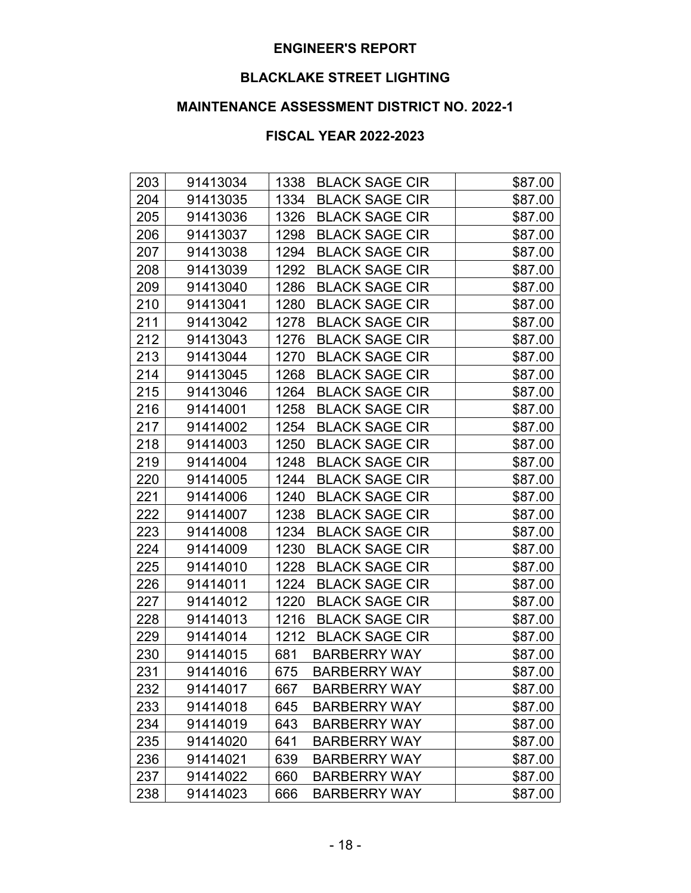# **BLACKLAKE STREET LIGHTING**

# **MAINTENANCE ASSESSMENT DISTRICT NO. 2022-1**

| 203 | 91413034 | 1338<br><b>BLACK SAGE CIR</b> | \$87.00 |
|-----|----------|-------------------------------|---------|
| 204 | 91413035 | <b>BLACK SAGE CIR</b><br>1334 | \$87.00 |
| 205 | 91413036 | <b>BLACK SAGE CIR</b><br>1326 | \$87.00 |
| 206 | 91413037 | 1298<br><b>BLACK SAGE CIR</b> | \$87.00 |
| 207 | 91413038 | 1294<br><b>BLACK SAGE CIR</b> | \$87.00 |
| 208 | 91413039 | 1292<br><b>BLACK SAGE CIR</b> | \$87.00 |
| 209 | 91413040 | <b>BLACK SAGE CIR</b><br>1286 | \$87.00 |
| 210 | 91413041 | <b>BLACK SAGE CIR</b><br>1280 | \$87.00 |
| 211 | 91413042 | <b>BLACK SAGE CIR</b><br>1278 | \$87.00 |
| 212 | 91413043 | 1276<br><b>BLACK SAGE CIR</b> | \$87.00 |
| 213 | 91413044 | <b>BLACK SAGE CIR</b><br>1270 | \$87.00 |
| 214 | 91413045 | 1268<br><b>BLACK SAGE CIR</b> | \$87.00 |
| 215 | 91413046 | 1264<br><b>BLACK SAGE CIR</b> | \$87.00 |
| 216 | 91414001 | <b>BLACK SAGE CIR</b><br>1258 | \$87.00 |
| 217 | 91414002 | 1254<br><b>BLACK SAGE CIR</b> | \$87.00 |
| 218 | 91414003 | 1250<br><b>BLACK SAGE CIR</b> | \$87.00 |
| 219 | 91414004 | 1248<br><b>BLACK SAGE CIR</b> | \$87.00 |
| 220 | 91414005 | 1244<br><b>BLACK SAGE CIR</b> | \$87.00 |
| 221 | 91414006 | <b>BLACK SAGE CIR</b><br>1240 | \$87.00 |
| 222 | 91414007 | 1238<br><b>BLACK SAGE CIR</b> | \$87.00 |
| 223 | 91414008 | <b>BLACK SAGE CIR</b><br>1234 | \$87.00 |
| 224 | 91414009 | 1230<br><b>BLACK SAGE CIR</b> | \$87.00 |
| 225 | 91414010 | 1228<br><b>BLACK SAGE CIR</b> | \$87.00 |
| 226 | 91414011 | <b>BLACK SAGE CIR</b><br>1224 | \$87.00 |
| 227 | 91414012 | 1220<br><b>BLACK SAGE CIR</b> | \$87.00 |
| 228 | 91414013 | <b>BLACK SAGE CIR</b><br>1216 | \$87.00 |
| 229 | 91414014 | 1212<br><b>BLACK SAGE CIR</b> | \$87.00 |
| 230 | 91414015 | 681<br><b>BARBERRY WAY</b>    | \$87.00 |
| 231 | 91414016 | 675<br><b>BARBERRY WAY</b>    | \$87.00 |
| 232 | 91414017 | 667<br><b>BARBERRY WAY</b>    | \$87.00 |
| 233 | 91414018 | 645<br><b>BARBERRY WAY</b>    | \$87.00 |
| 234 | 91414019 | 643<br><b>BARBERRY WAY</b>    | \$87.00 |
| 235 | 91414020 | 641<br><b>BARBERRY WAY</b>    | \$87.00 |
| 236 | 91414021 | 639<br><b>BARBERRY WAY</b>    | \$87.00 |
| 237 | 91414022 | 660<br><b>BARBERRY WAY</b>    | \$87.00 |
| 238 | 91414023 | 666<br><b>BARBERRY WAY</b>    | \$87.00 |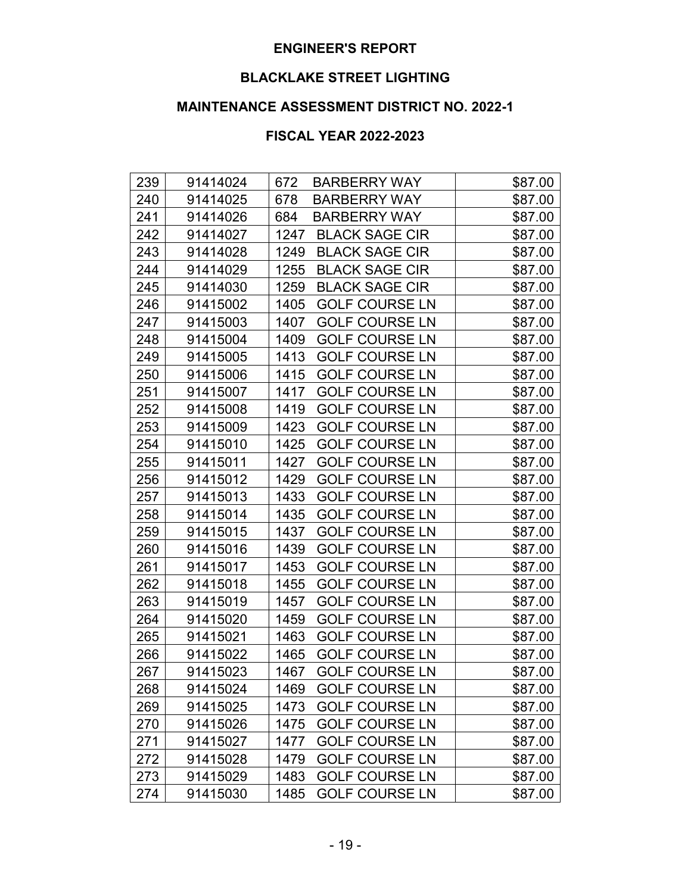# **BLACKLAKE STREET LIGHTING**

# **MAINTENANCE ASSESSMENT DISTRICT NO. 2022-1**

| 239 | 91414024 | 672<br><b>BARBERRY WAY</b>    | \$87.00 |
|-----|----------|-------------------------------|---------|
| 240 | 91414025 | 678<br><b>BARBERRY WAY</b>    | \$87.00 |
| 241 | 91414026 | 684<br><b>BARBERRY WAY</b>    | \$87.00 |
| 242 | 91414027 | <b>BLACK SAGE CIR</b><br>1247 | \$87.00 |
| 243 | 91414028 | 1249<br><b>BLACK SAGE CIR</b> | \$87.00 |
| 244 | 91414029 | 1255<br><b>BLACK SAGE CIR</b> | \$87.00 |
| 245 | 91414030 | <b>BLACK SAGE CIR</b><br>1259 | \$87.00 |
| 246 | 91415002 | 1405<br><b>GOLF COURSE LN</b> | \$87.00 |
| 247 | 91415003 | <b>GOLF COURSE LN</b><br>1407 | \$87.00 |
| 248 | 91415004 | <b>GOLF COURSE LN</b><br>1409 | \$87.00 |
| 249 | 91415005 | 1413<br><b>GOLF COURSE LN</b> | \$87.00 |
| 250 | 91415006 | 1415<br><b>GOLF COURSE LN</b> | \$87.00 |
| 251 | 91415007 | <b>GOLF COURSE LN</b><br>1417 | \$87.00 |
| 252 | 91415008 | <b>GOLF COURSE LN</b><br>1419 | \$87.00 |
| 253 | 91415009 | 1423<br><b>GOLF COURSE LN</b> | \$87.00 |
| 254 | 91415010 | <b>GOLF COURSE LN</b><br>1425 | \$87.00 |
| 255 | 91415011 | <b>GOLF COURSE LN</b><br>1427 | \$87.00 |
| 256 | 91415012 | <b>GOLF COURSE LN</b><br>1429 | \$87.00 |
| 257 | 91415013 | <b>GOLF COURSE LN</b><br>1433 | \$87.00 |
| 258 | 91415014 | 1435<br><b>GOLF COURSE LN</b> | \$87.00 |
| 259 | 91415015 | <b>GOLF COURSE LN</b><br>1437 | \$87.00 |
| 260 | 91415016 | 1439<br><b>GOLF COURSE LN</b> | \$87.00 |
| 261 | 91415017 | <b>GOLF COURSE LN</b><br>1453 | \$87.00 |
| 262 | 91415018 | <b>GOLF COURSE LN</b><br>1455 | \$87.00 |
| 263 | 91415019 | <b>GOLF COURSE LN</b><br>1457 | \$87.00 |
| 264 | 91415020 | 1459<br><b>GOLF COURSE LN</b> | \$87.00 |
| 265 | 91415021 | 1463<br><b>GOLF COURSE LN</b> | \$87.00 |
| 266 | 91415022 | <b>GOLF COURSE LN</b><br>1465 | \$87.00 |
| 267 | 91415023 | <b>GOLF COURSE LN</b><br>1467 | \$87.00 |
| 268 | 91415024 | 1469<br><b>GOLF COURSE LN</b> | \$87.00 |
| 269 | 91415025 | <b>GOLF COURSE LN</b><br>1473 | \$87.00 |
| 270 | 91415026 | 1475<br><b>GOLF COURSE LN</b> | \$87.00 |
| 271 | 91415027 | <b>GOLF COURSE LN</b><br>1477 | \$87.00 |
| 272 | 91415028 | <b>GOLF COURSE LN</b><br>1479 | \$87.00 |
| 273 | 91415029 | <b>GOLF COURSE LN</b><br>1483 | \$87.00 |
| 274 | 91415030 | <b>GOLF COURSE LN</b><br>1485 | \$87.00 |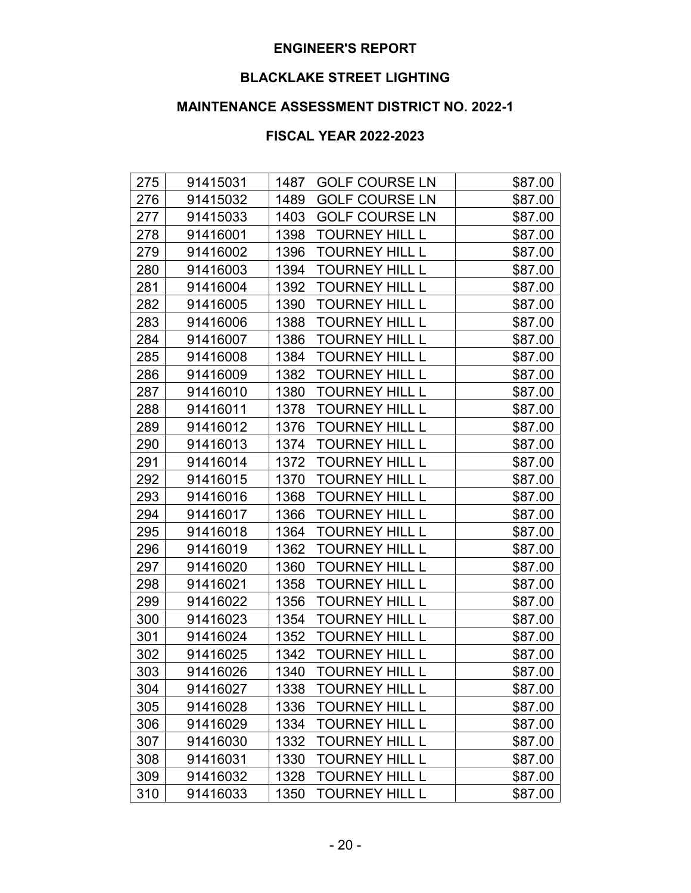# **BLACKLAKE STREET LIGHTING**

# **MAINTENANCE ASSESSMENT DISTRICT NO. 2022-1**

| 275 | 91415031 | 1487<br><b>GOLF COURSE LN</b> | \$87.00 |
|-----|----------|-------------------------------|---------|
| 276 | 91415032 | <b>GOLF COURSE LN</b><br>1489 | \$87.00 |
| 277 | 91415033 | 1403<br><b>GOLF COURSE LN</b> | \$87.00 |
| 278 | 91416001 | <b>TOURNEY HILL L</b><br>1398 | \$87.00 |
| 279 | 91416002 | 1396<br><b>TOURNEY HILL L</b> | \$87.00 |
| 280 | 91416003 | 1394<br><b>TOURNEY HILL L</b> | \$87.00 |
| 281 | 91416004 | 1392<br><b>TOURNEY HILL L</b> | \$87.00 |
| 282 | 91416005 | 1390<br><b>TOURNEY HILL L</b> | \$87.00 |
| 283 | 91416006 | 1388<br><b>TOURNEY HILL L</b> | \$87.00 |
| 284 | 91416007 | <b>TOURNEY HILL L</b><br>1386 | \$87.00 |
| 285 | 91416008 | 1384<br><b>TOURNEY HILL L</b> | \$87.00 |
| 286 | 91416009 | 1382<br><b>TOURNEY HILL L</b> | \$87.00 |
| 287 | 91416010 | 1380<br><b>TOURNEY HILL L</b> | \$87.00 |
| 288 | 91416011 | <b>TOURNEY HILL L</b><br>1378 | \$87.00 |
| 289 | 91416012 | 1376<br><b>TOURNEY HILL L</b> | \$87.00 |
| 290 | 91416013 | TOURNEY HILL L<br>1374        | \$87.00 |
| 291 | 91416014 | <b>TOURNEY HILL L</b><br>1372 | \$87.00 |
| 292 | 91416015 | 1370<br><b>TOURNEY HILL L</b> | \$87.00 |
| 293 | 91416016 | 1368<br><b>TOURNEY HILL L</b> | \$87.00 |
| 294 | 91416017 | <b>TOURNEY HILL L</b><br>1366 | \$87.00 |
| 295 | 91416018 | 1364<br><b>TOURNEY HILL L</b> | \$87.00 |
| 296 | 91416019 | 1362<br><b>TOURNEY HILL L</b> | \$87.00 |
| 297 | 91416020 | <b>TOURNEY HILL L</b><br>1360 | \$87.00 |
| 298 | 91416021 | 1358<br><b>TOURNEY HILL L</b> | \$87.00 |
| 299 | 91416022 | 1356<br><b>TOURNEY HILL L</b> | \$87.00 |
| 300 | 91416023 | <b>TOURNEY HILL L</b><br>1354 | \$87.00 |
| 301 | 91416024 | 1352<br><b>TOURNEY HILL L</b> | \$87.00 |
| 302 | 91416025 | <b>TOURNEY HILL L</b><br>1342 | \$87.00 |
| 303 | 91416026 | <b>TOURNEY HILL L</b><br>1340 | \$87.00 |
| 304 | 91416027 | 1338<br><b>TOURNEY HILL L</b> | \$87.00 |
| 305 | 91416028 | 1336<br><b>TOURNEY HILL L</b> | \$87.00 |
| 306 | 91416029 | 1334<br><b>TOURNEY HILL L</b> | \$87.00 |
| 307 | 91416030 | 1332<br><b>TOURNEY HILL L</b> | \$87.00 |
| 308 | 91416031 | TOURNEY HILL L<br>1330        | \$87.00 |
| 309 | 91416032 | <b>TOURNEY HILL L</b><br>1328 | \$87.00 |
| 310 | 91416033 | <b>TOURNEY HILL L</b><br>1350 | \$87.00 |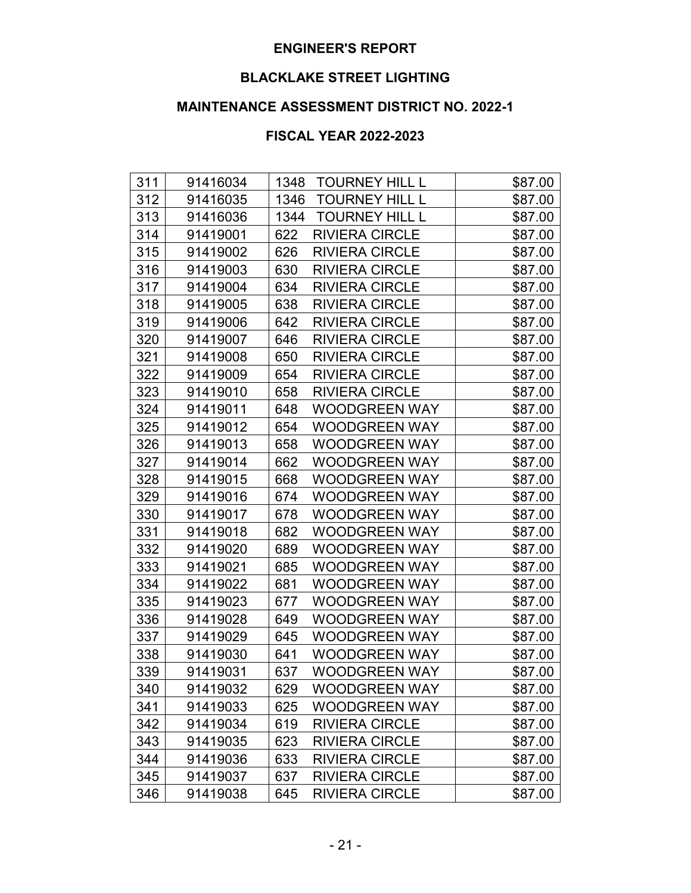# **BLACKLAKE STREET LIGHTING**

# **MAINTENANCE ASSESSMENT DISTRICT NO. 2022-1**

| 311 | 91416034 | 1348 | <b>TOURNEY HILL L</b> | \$87.00 |
|-----|----------|------|-----------------------|---------|
| 312 | 91416035 | 1346 | TOURNEY HILL L        | \$87.00 |
| 313 | 91416036 | 1344 | <b>TOURNEY HILL L</b> | \$87.00 |
| 314 | 91419001 | 622  | <b>RIVIERA CIRCLE</b> | \$87.00 |
| 315 | 91419002 | 626  | <b>RIVIERA CIRCLE</b> | \$87.00 |
| 316 | 91419003 | 630  | <b>RIVIERA CIRCLE</b> | \$87.00 |
| 317 | 91419004 | 634  | <b>RIVIERA CIRCLE</b> | \$87.00 |
| 318 | 91419005 | 638  | <b>RIVIERA CIRCLE</b> | \$87.00 |
| 319 | 91419006 | 642  | <b>RIVIERA CIRCLE</b> | \$87.00 |
| 320 | 91419007 | 646  | <b>RIVIERA CIRCLE</b> | \$87.00 |
| 321 | 91419008 | 650  | <b>RIVIERA CIRCLE</b> | \$87.00 |
| 322 | 91419009 | 654  | <b>RIVIERA CIRCLE</b> | \$87.00 |
| 323 | 91419010 | 658  | <b>RIVIERA CIRCLE</b> | \$87.00 |
| 324 | 91419011 | 648  | <b>WOODGREEN WAY</b>  | \$87.00 |
| 325 | 91419012 | 654  | <b>WOODGREEN WAY</b>  | \$87.00 |
| 326 | 91419013 | 658  | <b>WOODGREEN WAY</b>  | \$87.00 |
| 327 | 91419014 | 662  | <b>WOODGREEN WAY</b>  | \$87.00 |
| 328 | 91419015 | 668  | <b>WOODGREEN WAY</b>  | \$87.00 |
| 329 | 91419016 | 674  | <b>WOODGREEN WAY</b>  | \$87.00 |
| 330 | 91419017 | 678  | <b>WOODGREEN WAY</b>  | \$87.00 |
| 331 | 91419018 | 682  | <b>WOODGREEN WAY</b>  | \$87.00 |
| 332 | 91419020 | 689  | <b>WOODGREEN WAY</b>  | \$87.00 |
| 333 | 91419021 | 685  | <b>WOODGREEN WAY</b>  | \$87.00 |
| 334 | 91419022 | 681  | <b>WOODGREEN WAY</b>  | \$87.00 |
| 335 | 91419023 | 677  | WOODGREEN WAY         | \$87.00 |
| 336 | 91419028 | 649  | <b>WOODGREEN WAY</b>  | \$87.00 |
| 337 | 91419029 | 645  | <b>WOODGREEN WAY</b>  | \$87.00 |
| 338 | 91419030 | 641  | <b>WOODGREEN WAY</b>  | \$87.00 |
| 339 | 91419031 | 637  | <b>WOODGREEN WAY</b>  | \$87.00 |
| 340 | 91419032 | 629  | <b>WOODGREEN WAY</b>  | \$87.00 |
| 341 | 91419033 | 625  | <b>WOODGREEN WAY</b>  | \$87.00 |
| 342 | 91419034 | 619  | <b>RIVIERA CIRCLE</b> | \$87.00 |
| 343 | 91419035 | 623  | <b>RIVIERA CIRCLE</b> | \$87.00 |
| 344 | 91419036 | 633  | <b>RIVIERA CIRCLE</b> | \$87.00 |
| 345 | 91419037 | 637  | <b>RIVIERA CIRCLE</b> | \$87.00 |
| 346 | 91419038 | 645  | <b>RIVIERA CIRCLE</b> | \$87.00 |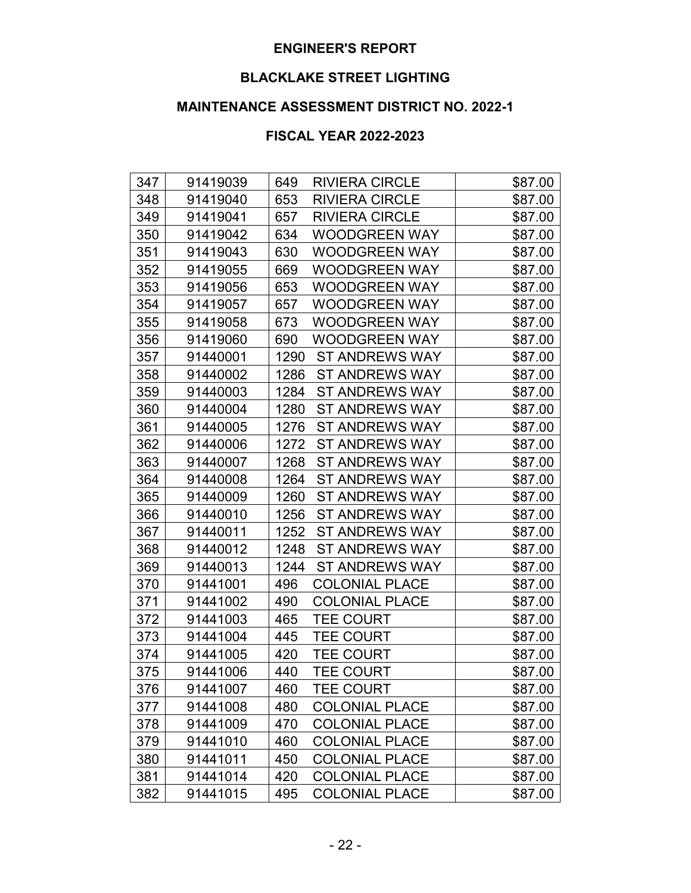# **BLACKLAKE STREET LIGHTING**

# **MAINTENANCE ASSESSMENT DISTRICT NO. 2022-1**

| 347 | 91419039 | 649<br><b>RIVIERA CIRCLE</b>  | \$87.00 |
|-----|----------|-------------------------------|---------|
| 348 | 91419040 | 653<br><b>RIVIERA CIRCLE</b>  | \$87.00 |
| 349 | 91419041 | 657<br><b>RIVIERA CIRCLE</b>  | \$87.00 |
| 350 | 91419042 | 634<br><b>WOODGREEN WAY</b>   | \$87.00 |
| 351 | 91419043 | 630<br><b>WOODGREEN WAY</b>   | \$87.00 |
| 352 | 91419055 | 669<br><b>WOODGREEN WAY</b>   | \$87.00 |
| 353 | 91419056 | <b>WOODGREEN WAY</b><br>653   | \$87.00 |
| 354 | 91419057 | 657<br><b>WOODGREEN WAY</b>   | \$87.00 |
| 355 | 91419058 | 673<br><b>WOODGREEN WAY</b>   | \$87.00 |
| 356 | 91419060 | 690<br><b>WOODGREEN WAY</b>   | \$87.00 |
| 357 | 91440001 | 1290<br><b>ST ANDREWS WAY</b> | \$87.00 |
| 358 | 91440002 | 1286<br><b>ST ANDREWS WAY</b> | \$87.00 |
| 359 | 91440003 | 1284<br><b>ST ANDREWS WAY</b> | \$87.00 |
| 360 | 91440004 | <b>ST ANDREWS WAY</b><br>1280 | \$87.00 |
| 361 | 91440005 | 1276<br><b>ST ANDREWS WAY</b> | \$87.00 |
| 362 | 91440006 | 1272<br><b>ST ANDREWS WAY</b> | \$87.00 |
| 363 | 91440007 | <b>ST ANDREWS WAY</b><br>1268 | \$87.00 |
| 364 | 91440008 | 1264<br><b>ST ANDREWS WAY</b> | \$87.00 |
| 365 | 91440009 | <b>ST ANDREWS WAY</b><br>1260 | \$87.00 |
| 366 | 91440010 | 1256<br><b>ST ANDREWS WAY</b> | \$87.00 |
| 367 | 91440011 | <b>ST ANDREWS WAY</b><br>1252 | \$87.00 |
| 368 | 91440012 | 1248<br><b>ST ANDREWS WAY</b> | \$87.00 |
| 369 | 91440013 | <b>ST ANDREWS WAY</b><br>1244 | \$87.00 |
| 370 | 91441001 | 496<br><b>COLONIAL PLACE</b>  | \$87.00 |
| 371 | 91441002 | 490<br><b>COLONIAL PLACE</b>  | \$87.00 |
| 372 | 91441003 | <b>TEE COURT</b><br>465       | \$87.00 |
| 373 | 91441004 | 445<br><b>TEE COURT</b>       | \$87.00 |
| 374 | 91441005 | 420<br><b>TEE COURT</b>       | \$87.00 |
| 375 | 91441006 | <b>TEE COURT</b><br>440       | \$87.00 |
| 376 | 91441007 | 460<br><b>TEE COURT</b>       | \$87.00 |
| 377 | 91441008 | 480<br><b>COLONIAL PLACE</b>  | \$87.00 |
| 378 | 91441009 | <b>COLONIAL PLACE</b><br>470  | \$87.00 |
| 379 | 91441010 | 460<br><b>COLONIAL PLACE</b>  | \$87.00 |
| 380 | 91441011 | 450<br><b>COLONIAL PLACE</b>  | \$87.00 |
| 381 | 91441014 | <b>COLONIAL PLACE</b><br>420  | \$87.00 |
| 382 | 91441015 | <b>COLONIAL PLACE</b><br>495  | \$87.00 |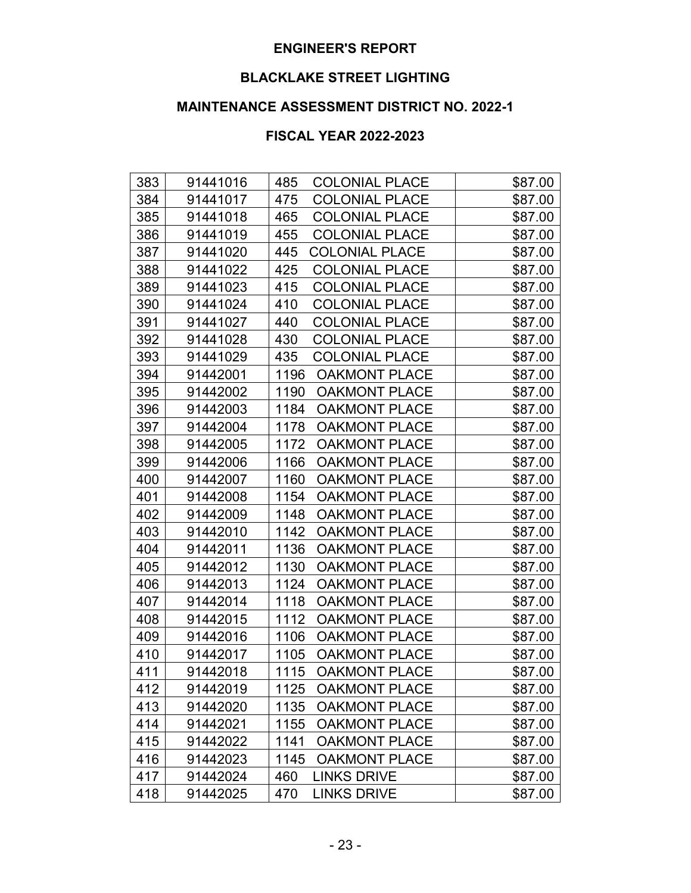# **BLACKLAKE STREET LIGHTING**

# **MAINTENANCE ASSESSMENT DISTRICT NO. 2022-1**

| 383 | 91441016 | 485<br><b>COLONIAL PLACE</b> | \$87.00 |
|-----|----------|------------------------------|---------|
| 384 | 91441017 | 475<br><b>COLONIAL PLACE</b> | \$87.00 |
| 385 | 91441018 | <b>COLONIAL PLACE</b><br>465 | \$87.00 |
| 386 | 91441019 | <b>COLONIAL PLACE</b><br>455 | \$87.00 |
| 387 | 91441020 | <b>COLONIAL PLACE</b><br>445 | \$87.00 |
| 388 | 91441022 | <b>COLONIAL PLACE</b><br>425 | \$87.00 |
| 389 | 91441023 | 415<br><b>COLONIAL PLACE</b> | \$87.00 |
| 390 | 91441024 | <b>COLONIAL PLACE</b><br>410 | \$87.00 |
| 391 | 91441027 | <b>COLONIAL PLACE</b><br>440 | \$87.00 |
| 392 | 91441028 | 430<br><b>COLONIAL PLACE</b> | \$87.00 |
| 393 | 91441029 | 435<br><b>COLONIAL PLACE</b> | \$87.00 |
| 394 | 91442001 | 1196<br><b>OAKMONT PLACE</b> | \$87.00 |
| 395 | 91442002 | 1190<br><b>OAKMONT PLACE</b> | \$87.00 |
| 396 | 91442003 | 1184<br><b>OAKMONT PLACE</b> | \$87.00 |
| 397 | 91442004 | 1178<br><b>OAKMONT PLACE</b> | \$87.00 |
| 398 | 91442005 | 1172<br><b>OAKMONT PLACE</b> | \$87.00 |
| 399 | 91442006 | 1166<br><b>OAKMONT PLACE</b> | \$87.00 |
| 400 | 91442007 | 1160<br><b>OAKMONT PLACE</b> | \$87.00 |
| 401 | 91442008 | 1154<br><b>OAKMONT PLACE</b> | \$87.00 |
| 402 | 91442009 | 1148<br><b>OAKMONT PLACE</b> | \$87.00 |
| 403 | 91442010 | 1142<br><b>OAKMONT PLACE</b> | \$87.00 |
| 404 | 91442011 | 1136<br><b>OAKMONT PLACE</b> | \$87.00 |
| 405 | 91442012 | 1130<br><b>OAKMONT PLACE</b> | \$87.00 |
| 406 | 91442013 | 1124<br><b>OAKMONT PLACE</b> | \$87.00 |
| 407 | 91442014 | 1118<br><b>OAKMONT PLACE</b> | \$87.00 |
| 408 | 91442015 | 1112<br><b>OAKMONT PLACE</b> | \$87.00 |
| 409 | 91442016 | 1106<br><b>OAKMONT PLACE</b> | \$87.00 |
| 410 | 91442017 | <b>OAKMONT PLACE</b><br>1105 | \$87.00 |
| 411 | 91442018 | 1115<br><b>OAKMONT PLACE</b> | \$87.00 |
| 412 | 91442019 | 1125<br><b>OAKMONT PLACE</b> | \$87.00 |
| 413 | 91442020 | 1135<br><b>OAKMONT PLACE</b> | \$87.00 |
| 414 | 91442021 | 1155<br><b>OAKMONT PLACE</b> | \$87.00 |
| 415 | 91442022 | 1141<br><b>OAKMONT PLACE</b> | \$87.00 |
| 416 | 91442023 | 1145<br><b>OAKMONT PLACE</b> | \$87.00 |
| 417 | 91442024 | <b>LINKS DRIVE</b><br>460    | \$87.00 |
| 418 | 91442025 | <b>LINKS DRIVE</b><br>470    | \$87.00 |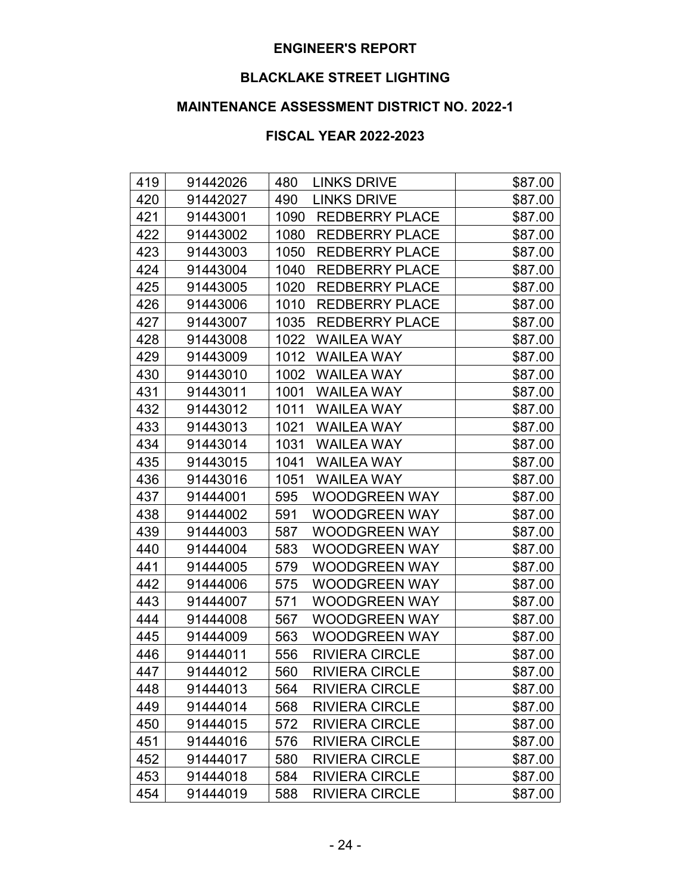# **BLACKLAKE STREET LIGHTING**

# **MAINTENANCE ASSESSMENT DISTRICT NO. 2022-1**

| 419 | 91442026 | 480<br><b>LINKS DRIVE</b>     | \$87.00 |
|-----|----------|-------------------------------|---------|
| 420 | 91442027 | <b>LINKS DRIVE</b><br>490     | \$87.00 |
| 421 | 91443001 | 1090<br><b>REDBERRY PLACE</b> | \$87.00 |
| 422 | 91443002 | 1080<br><b>REDBERRY PLACE</b> | \$87.00 |
| 423 | 91443003 | 1050<br><b>REDBERRY PLACE</b> | \$87.00 |
| 424 | 91443004 | 1040<br><b>REDBERRY PLACE</b> | \$87.00 |
| 425 | 91443005 | 1020<br><b>REDBERRY PLACE</b> | \$87.00 |
| 426 | 91443006 | 1010<br><b>REDBERRY PLACE</b> | \$87.00 |
| 427 | 91443007 | 1035<br><b>REDBERRY PLACE</b> | \$87.00 |
| 428 | 91443008 | 1022<br><b>WAILEA WAY</b>     | \$87.00 |
| 429 | 91443009 | 1012<br><b>WAILEA WAY</b>     | \$87.00 |
| 430 | 91443010 | 1002<br><b>WAILEA WAY</b>     | \$87.00 |
| 431 | 91443011 | 1001<br><b>WAILEA WAY</b>     | \$87.00 |
| 432 | 91443012 | 1011<br><b>WAILEA WAY</b>     | \$87.00 |
| 433 | 91443013 | 1021<br><b>WAILEA WAY</b>     | \$87.00 |
| 434 | 91443014 | 1031<br><b>WAILEA WAY</b>     | \$87.00 |
| 435 | 91443015 | 1041<br><b>WAILEA WAY</b>     | \$87.00 |
| 436 | 91443016 | 1051<br><b>WAILEA WAY</b>     | \$87.00 |
| 437 | 91444001 | 595<br><b>WOODGREEN WAY</b>   | \$87.00 |
| 438 | 91444002 | <b>WOODGREEN WAY</b><br>591   | \$87.00 |
| 439 | 91444003 | 587<br><b>WOODGREEN WAY</b>   | \$87.00 |
| 440 | 91444004 | 583<br><b>WOODGREEN WAY</b>   | \$87.00 |
| 441 | 91444005 | <b>WOODGREEN WAY</b><br>579   | \$87.00 |
| 442 | 91444006 | 575<br><b>WOODGREEN WAY</b>   | \$87.00 |
| 443 | 91444007 | <b>WOODGREEN WAY</b><br>571   | \$87.00 |
| 444 | 91444008 | 567<br><b>WOODGREEN WAY</b>   | \$87.00 |
| 445 | 91444009 | <b>WOODGREEN WAY</b><br>563   | \$87.00 |
| 446 | 91444011 | <b>RIVIERA CIRCLE</b><br>556  | \$87.00 |
| 447 | 91444012 | <b>RIVIERA CIRCLE</b><br>560  | \$87.00 |
| 448 | 91444013 | 564<br><b>RIVIERA CIRCLE</b>  | \$87.00 |
| 449 | 91444014 | 568<br><b>RIVIERA CIRCLE</b>  | \$87.00 |
| 450 | 91444015 | <b>RIVIERA CIRCLE</b><br>572  | \$87.00 |
| 451 | 91444016 | 576<br><b>RIVIERA CIRCLE</b>  | \$87.00 |
| 452 | 91444017 | <b>RIVIERA CIRCLE</b><br>580  | \$87.00 |
| 453 | 91444018 | <b>RIVIERA CIRCLE</b><br>584  | \$87.00 |
| 454 | 91444019 | 588<br><b>RIVIERA CIRCLE</b>  | \$87.00 |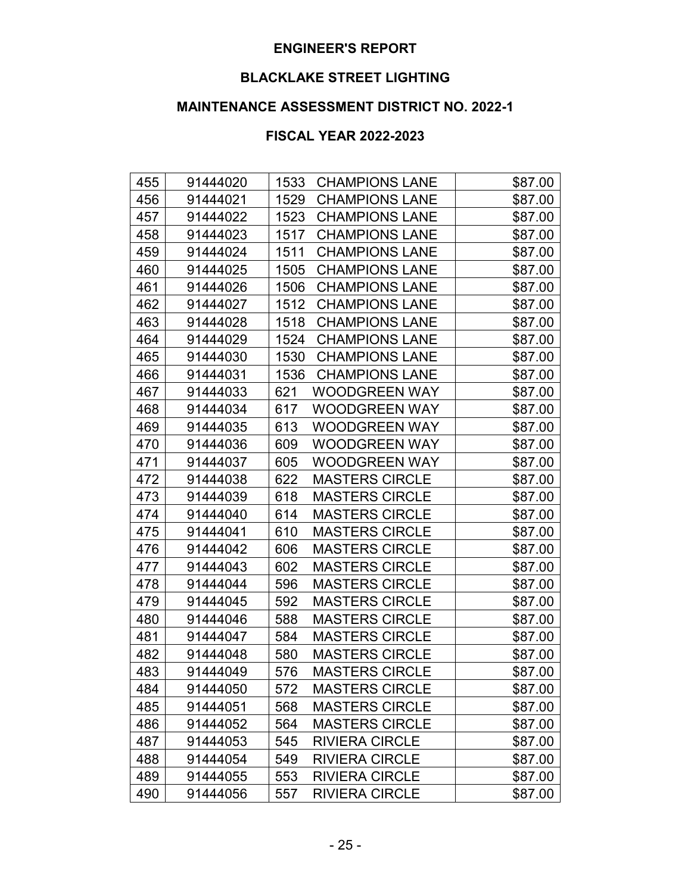# **BLACKLAKE STREET LIGHTING**

# **MAINTENANCE ASSESSMENT DISTRICT NO. 2022-1**

| 455 | 91444020 | 1533<br><b>CHAMPIONS LANE</b> | \$87.00 |
|-----|----------|-------------------------------|---------|
| 456 | 91444021 | <b>CHAMPIONS LANE</b><br>1529 | \$87.00 |
| 457 | 91444022 | <b>CHAMPIONS LANE</b><br>1523 | \$87.00 |
| 458 | 91444023 | <b>CHAMPIONS LANE</b><br>1517 | \$87.00 |
| 459 | 91444024 | <b>CHAMPIONS LANE</b><br>1511 | \$87.00 |
| 460 | 91444025 | 1505<br><b>CHAMPIONS LANE</b> | \$87.00 |
| 461 | 91444026 | <b>CHAMPIONS LANE</b><br>1506 | \$87.00 |
| 462 | 91444027 | 1512<br><b>CHAMPIONS LANE</b> | \$87.00 |
| 463 | 91444028 | <b>CHAMPIONS LANE</b><br>1518 | \$87.00 |
| 464 | 91444029 | <b>CHAMPIONS LANE</b><br>1524 | \$87.00 |
| 465 | 91444030 | 1530<br><b>CHAMPIONS LANE</b> | \$87.00 |
| 466 | 91444031 | <b>CHAMPIONS LANE</b><br>1536 | \$87.00 |
| 467 | 91444033 | 621<br><b>WOODGREEN WAY</b>   | \$87.00 |
| 468 | 91444034 | <b>WOODGREEN WAY</b><br>617   | \$87.00 |
| 469 | 91444035 | 613<br><b>WOODGREEN WAY</b>   | \$87.00 |
| 470 | 91444036 | 609<br><b>WOODGREEN WAY</b>   | \$87.00 |
| 471 | 91444037 | 605<br><b>WOODGREEN WAY</b>   | \$87.00 |
| 472 | 91444038 | 622<br><b>MASTERS CIRCLE</b>  | \$87.00 |
| 473 | 91444039 | <b>MASTERS CIRCLE</b><br>618  | \$87.00 |
| 474 | 91444040 | 614<br><b>MASTERS CIRCLE</b>  | \$87.00 |
| 475 | 91444041 | 610<br><b>MASTERS CIRCLE</b>  | \$87.00 |
| 476 | 91444042 | 606<br><b>MASTERS CIRCLE</b>  | \$87.00 |
| 477 | 91444043 | <b>MASTERS CIRCLE</b><br>602  | \$87.00 |
| 478 | 91444044 | 596<br><b>MASTERS CIRCLE</b>  | \$87.00 |
| 479 | 91444045 | 592<br><b>MASTERS CIRCLE</b>  | \$87.00 |
| 480 | 91444046 | <b>MASTERS CIRCLE</b><br>588  | \$87.00 |
| 481 | 91444047 | 584<br><b>MASTERS CIRCLE</b>  | \$87.00 |
| 482 | 91444048 | 580<br><b>MASTERS CIRCLE</b>  | \$87.00 |
| 483 | 91444049 | <b>MASTERS CIRCLE</b><br>576  | \$87.00 |
| 484 | 91444050 | 572<br><b>MASTERS CIRCLE</b>  | \$87.00 |
| 485 | 91444051 | <b>MASTERS CIRCLE</b><br>568  | \$87.00 |
| 486 | 91444052 | 564<br><b>MASTERS CIRCLE</b>  | \$87.00 |
| 487 | 91444053 | <b>RIVIERA CIRCLE</b><br>545  | \$87.00 |
| 488 | 91444054 | <b>RIVIERA CIRCLE</b><br>549  | \$87.00 |
| 489 | 91444055 | <b>RIVIERA CIRCLE</b><br>553  | \$87.00 |
| 490 | 91444056 | 557<br><b>RIVIERA CIRCLE</b>  | \$87.00 |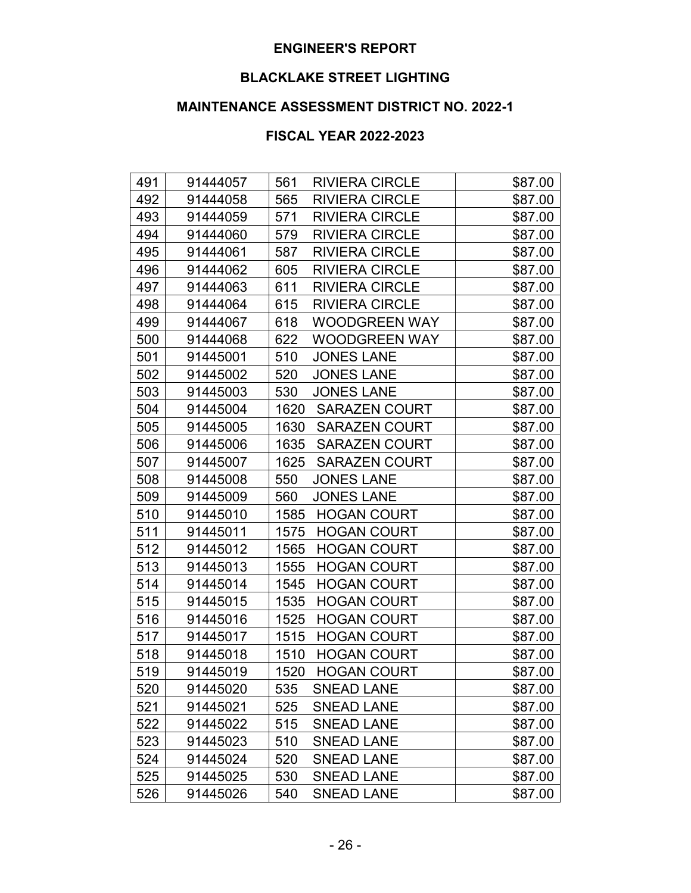# **BLACKLAKE STREET LIGHTING**

# **MAINTENANCE ASSESSMENT DISTRICT NO. 2022-1**

| 491 | 91444057 | 561<br><b>RIVIERA CIRCLE</b> | \$87.00 |
|-----|----------|------------------------------|---------|
| 492 | 91444058 | <b>RIVIERA CIRCLE</b><br>565 | \$87.00 |
| 493 | 91444059 | <b>RIVIERA CIRCLE</b><br>571 | \$87.00 |
| 494 | 91444060 | <b>RIVIERA CIRCLE</b><br>579 | \$87.00 |
| 495 | 91444061 | 587<br><b>RIVIERA CIRCLE</b> | \$87.00 |
| 496 | 91444062 | 605<br><b>RIVIERA CIRCLE</b> | \$87.00 |
| 497 | 91444063 | 611<br><b>RIVIERA CIRCLE</b> | \$87.00 |
| 498 | 91444064 | <b>RIVIERA CIRCLE</b><br>615 | \$87.00 |
| 499 | 91444067 | <b>WOODGREEN WAY</b><br>618  | \$87.00 |
| 500 | 91444068 | 622<br><b>WOODGREEN WAY</b>  | \$87.00 |
| 501 | 91445001 | <b>JONES LANE</b><br>510     | \$87.00 |
| 502 | 91445002 | 520<br><b>JONES LANE</b>     | \$87.00 |
| 503 | 91445003 | <b>JONES LANE</b><br>530     | \$87.00 |
| 504 | 91445004 | 1620<br><b>SARAZEN COURT</b> | \$87.00 |
| 505 | 91445005 | 1630<br><b>SARAZEN COURT</b> | \$87.00 |
| 506 | 91445006 | 1635<br><b>SARAZEN COURT</b> | \$87.00 |
| 507 | 91445007 | 1625<br><b>SARAZEN COURT</b> | \$87.00 |
| 508 | 91445008 | <b>JONES LANE</b><br>550     | \$87.00 |
| 509 | 91445009 | <b>JONES LANE</b><br>560     | \$87.00 |
| 510 | 91445010 | 1585<br><b>HOGAN COURT</b>   | \$87.00 |
| 511 | 91445011 | 1575<br><b>HOGAN COURT</b>   | \$87.00 |
| 512 | 91445012 | 1565<br><b>HOGAN COURT</b>   | \$87.00 |
| 513 | 91445013 | <b>HOGAN COURT</b><br>1555   | \$87.00 |
| 514 | 91445014 | 1545<br><b>HOGAN COURT</b>   | \$87.00 |
| 515 | 91445015 | 1535<br><b>HOGAN COURT</b>   | \$87.00 |
| 516 | 91445016 | 1525<br><b>HOGAN COURT</b>   | \$87.00 |
| 517 | 91445017 | 1515<br><b>HOGAN COURT</b>   | \$87.00 |
| 518 | 91445018 | <b>HOGAN COURT</b><br>1510   | \$87.00 |
| 519 | 91445019 | 1520<br><b>HOGAN COURT</b>   | \$87.00 |
| 520 | 91445020 | 535<br><b>SNEAD LANE</b>     | \$87.00 |
| 521 | 91445021 | 525<br><b>SNEAD LANE</b>     | \$87.00 |
| 522 | 91445022 | 515<br><b>SNEAD LANE</b>     | \$87.00 |
| 523 | 91445023 | 510<br><b>SNEAD LANE</b>     | \$87.00 |
| 524 | 91445024 | 520<br><b>SNEAD LANE</b>     | \$87.00 |
| 525 | 91445025 | 530<br><b>SNEAD LANE</b>     | \$87.00 |
| 526 | 91445026 | 540<br><b>SNEAD LANE</b>     | \$87.00 |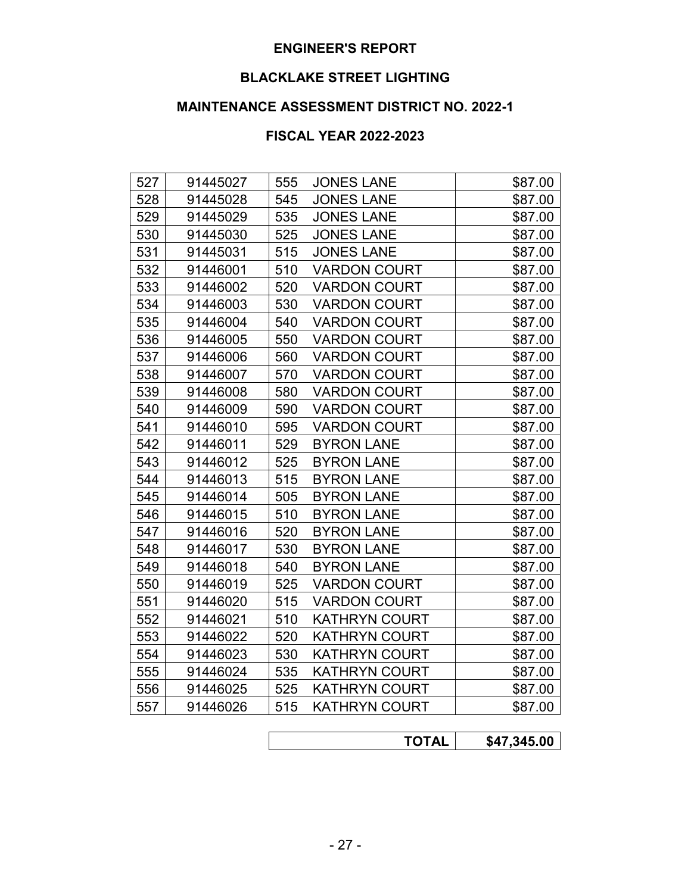# **BLACKLAKE STREET LIGHTING**

# **MAINTENANCE ASSESSMENT DISTRICT NO. 2022-1**

| 527 | 91445027 | 555 | <b>JONES LANE</b>    | \$87.00 |
|-----|----------|-----|----------------------|---------|
| 528 | 91445028 | 545 | <b>JONES LANE</b>    | \$87.00 |
| 529 | 91445029 | 535 | <b>JONES LANE</b>    | \$87.00 |
| 530 | 91445030 | 525 | <b>JONES LANE</b>    | \$87.00 |
| 531 | 91445031 | 515 | <b>JONES LANE</b>    | \$87.00 |
| 532 | 91446001 | 510 | <b>VARDON COURT</b>  | \$87.00 |
| 533 | 91446002 | 520 | <b>VARDON COURT</b>  | \$87.00 |
| 534 | 91446003 | 530 | <b>VARDON COURT</b>  | \$87.00 |
| 535 | 91446004 | 540 | <b>VARDON COURT</b>  | \$87.00 |
| 536 | 91446005 | 550 | <b>VARDON COURT</b>  | \$87.00 |
| 537 | 91446006 | 560 | <b>VARDON COURT</b>  | \$87.00 |
| 538 | 91446007 | 570 | <b>VARDON COURT</b>  | \$87.00 |
| 539 | 91446008 | 580 | <b>VARDON COURT</b>  | \$87.00 |
| 540 | 91446009 | 590 | <b>VARDON COURT</b>  | \$87.00 |
| 541 | 91446010 | 595 | <b>VARDON COURT</b>  | \$87.00 |
| 542 | 91446011 | 529 | <b>BYRON LANE</b>    | \$87.00 |
| 543 | 91446012 | 525 | <b>BYRON LANE</b>    | \$87.00 |
| 544 | 91446013 | 515 | <b>BYRON LANE</b>    | \$87.00 |
| 545 | 91446014 | 505 | <b>BYRON LANE</b>    | \$87.00 |
| 546 | 91446015 | 510 | <b>BYRON LANE</b>    | \$87.00 |
| 547 | 91446016 | 520 | <b>BYRON LANE</b>    | \$87.00 |
| 548 | 91446017 | 530 | <b>BYRON LANE</b>    | \$87.00 |
| 549 | 91446018 | 540 | <b>BYRON LANE</b>    | \$87.00 |
| 550 | 91446019 | 525 | <b>VARDON COURT</b>  | \$87.00 |
| 551 | 91446020 | 515 | <b>VARDON COURT</b>  | \$87.00 |
| 552 | 91446021 | 510 | <b>KATHRYN COURT</b> | \$87.00 |
| 553 | 91446022 | 520 | <b>KATHRYN COURT</b> | \$87.00 |
| 554 | 91446023 | 530 | <b>KATHRYN COURT</b> | \$87.00 |
| 555 | 91446024 | 535 | <b>KATHRYN COURT</b> | \$87.00 |
| 556 | 91446025 | 525 | <b>KATHRYN COURT</b> | \$87.00 |
| 557 | 91446026 | 515 | <b>KATHRYN COURT</b> | \$87.00 |
|     |          |     |                      |         |

| $\mathbf{A}$ | 45.00<br>C A 7 |
|--------------|----------------|
|              |                |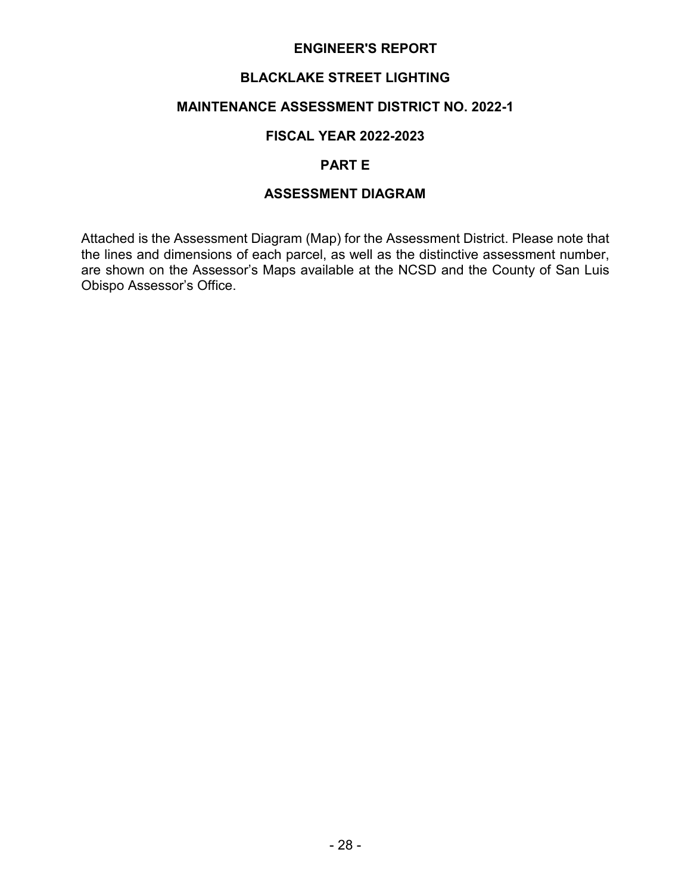# **BLACKLAKE STREET LIGHTING**

### **MAINTENANCE ASSESSMENT DISTRICT NO. 2022-1**

### **FISCAL YEAR 2022-2023**

#### **PART E**

## **ASSESSMENT DIAGRAM**

Attached is the Assessment Diagram (Map) for the Assessment District. Please note that the lines and dimensions of each parcel, as well as the distinctive assessment number, are shown on the Assessor's Maps available at the NCSD and the County of San Luis Obispo Assessor's Office.